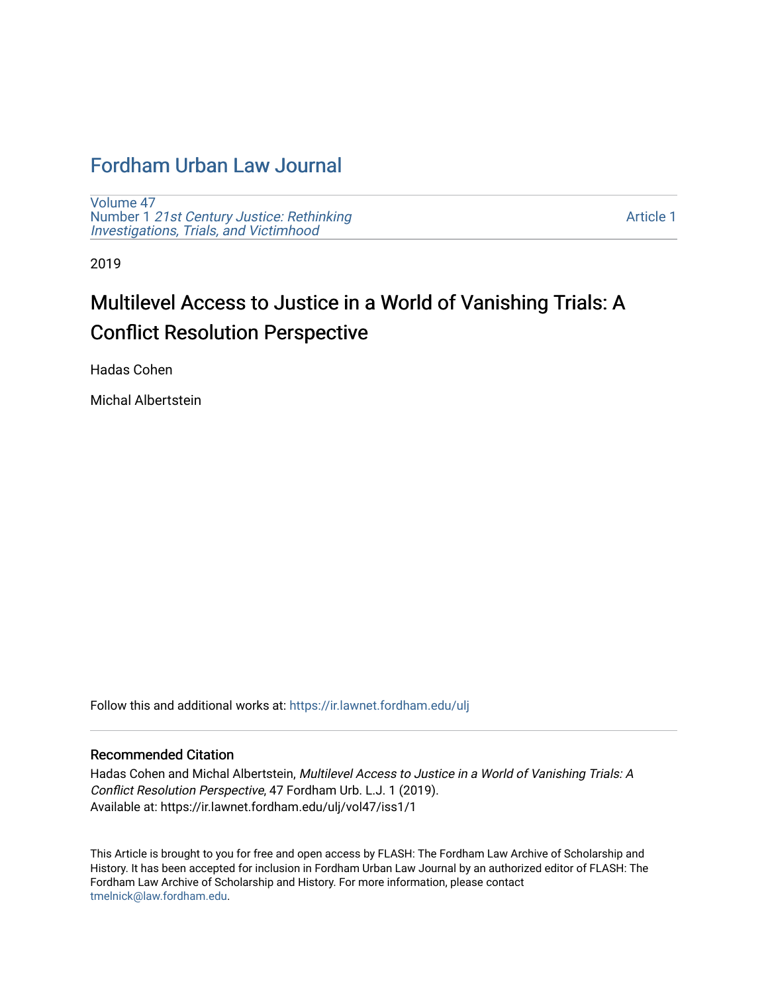## [Fordham Urban Law Journal](https://ir.lawnet.fordham.edu/ulj)

[Volume 47](https://ir.lawnet.fordham.edu/ulj/vol47) Number 1 [21st Century Justice: Rethinking](https://ir.lawnet.fordham.edu/ulj/vol47/iss1) [Investigations, Trials, and Victimhood](https://ir.lawnet.fordham.edu/ulj/vol47/iss1)

[Article 1](https://ir.lawnet.fordham.edu/ulj/vol47/iss1/1) 

2019

# Multilevel Access to Justice in a World of Vanishing Trials: A Conflict Resolution Perspective

Hadas Cohen

Michal Albertstein

Follow this and additional works at: [https://ir.lawnet.fordham.edu/ulj](https://ir.lawnet.fordham.edu/ulj?utm_source=ir.lawnet.fordham.edu%2Fulj%2Fvol47%2Fiss1%2F1&utm_medium=PDF&utm_campaign=PDFCoverPages) 

#### Recommended Citation

Hadas Cohen and Michal Albertstein, Multilevel Access to Justice in a World of Vanishing Trials: A Conflict Resolution Perspective, 47 Fordham Urb. L.J. 1 (2019). Available at: https://ir.lawnet.fordham.edu/ulj/vol47/iss1/1

This Article is brought to you for free and open access by FLASH: The Fordham Law Archive of Scholarship and History. It has been accepted for inclusion in Fordham Urban Law Journal by an authorized editor of FLASH: The Fordham Law Archive of Scholarship and History. For more information, please contact [tmelnick@law.fordham.edu](mailto:tmelnick@law.fordham.edu).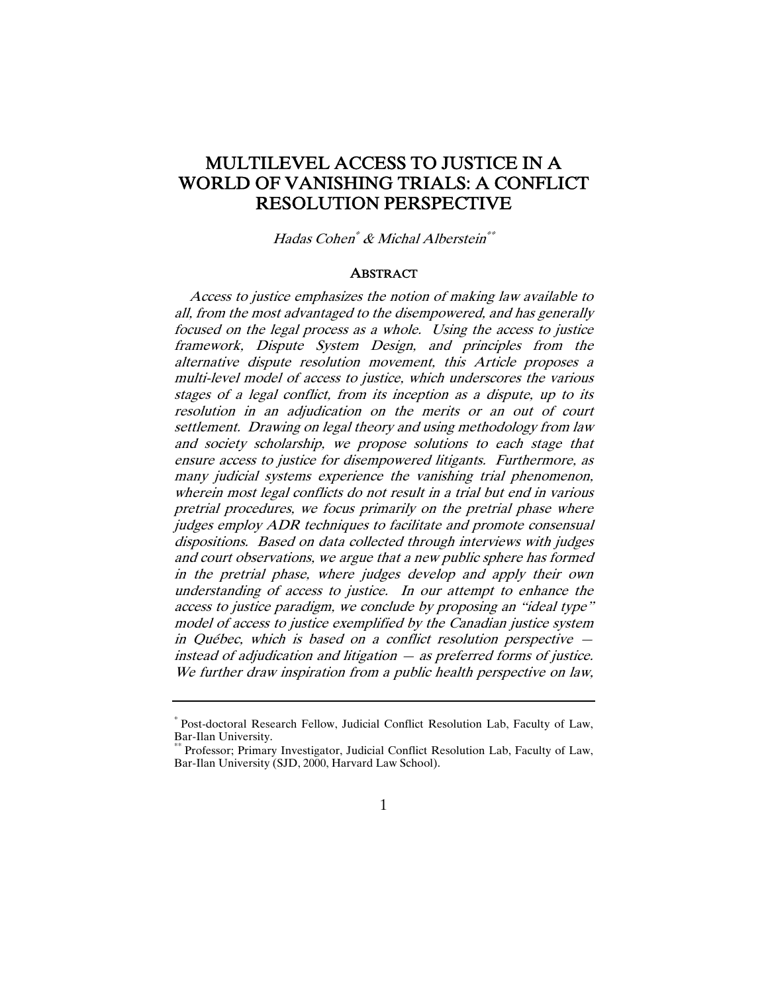### MULTILEVEL ACCESS TO JUSTICE IN A WORLD OF VANISHING TRIALS: A CONFLICT RESOLUTION PERSPECTIVE

Hadas Cohen\* & Michal Alberstein\*\*

#### **ABSTRACT**

Access to justice emphasizes the notion of making law available to all, from the most advantaged to the disempowered, and has generally focused on the legal process as a whole. Using the access to justice framework, Dispute System Design, and principles from the alternative dispute resolution movement, this Article proposes a multi-level model of access to justice, which underscores the various stages of a legal conflict, from its inception as a dispute, up to its resolution in an adjudication on the merits or an out of court settlement. Drawing on legal theory and using methodology from law and society scholarship, we propose solutions to each stage that ensure access to justice for disempowered litigants. Furthermore, as many judicial systems experience the vanishing trial phenomenon, wherein most legal conflicts do not result in a trial but end in various pretrial procedures, we focus primarily on the pretrial phase where judges employ ADR techniques to facilitate and promote consensual dispositions. Based on data collected through interviews with judges and court observations, we argue that a new public sphere has formed in the pretrial phase, where judges develop and apply their own understanding of access to justice. In our attempt to enhance the access to justice paradigm, we conclude by proposing an "ideal type" model of access to justice exemplified by the Canadian justice system in Québec, which is based on a conflict resolution perspective instead of adjudication and litigation — as preferred forms of justice. We further draw inspiration from a public health perspective on law,

<sup>\*</sup> Post-doctoral Research Fellow, Judicial Conflict Resolution Lab, Faculty of Law, Bar-Ilan University.

Professor; Primary Investigator, Judicial Conflict Resolution Lab, Faculty of Law, Bar-Ilan University (SJD, 2000, Harvard Law School).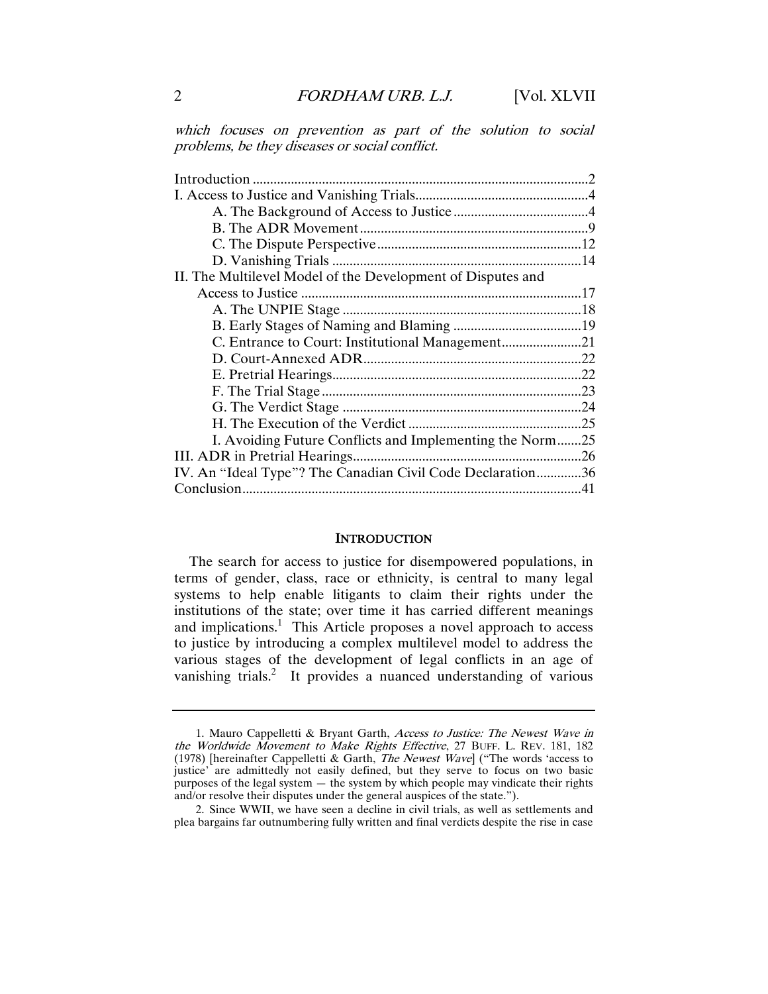which focuses on prevention as part of the solution to social problems, be they diseases or social conflict.

| II. The Multilevel Model of the Development of Disputes and |  |
|-------------------------------------------------------------|--|
|                                                             |  |
|                                                             |  |
|                                                             |  |
|                                                             |  |
|                                                             |  |
|                                                             |  |
|                                                             |  |
|                                                             |  |
|                                                             |  |
| I. Avoiding Future Conflicts and Implementing the Norm25    |  |
|                                                             |  |
| IV. An "Ideal Type"? The Canadian Civil Code Declaration36  |  |
|                                                             |  |
|                                                             |  |

#### **INTRODUCTION**

The search for access to justice for disempowered populations, in terms of gender, class, race or ethnicity, is central to many legal systems to help enable litigants to claim their rights under the institutions of the state; over time it has carried different meanings and implications.<sup>1</sup> This Article proposes a novel approach to access to justice by introducing a complex multilevel model to address the various stages of the development of legal conflicts in an age of vanishing trials.<sup>2</sup> It provides a nuanced understanding of various

 <sup>1.</sup> Mauro Cappelletti & Bryant Garth, Access to Justice: The Newest Wave in the Worldwide Movement to Make Rights Effective, 27 BUFF. L. REV. 181, 182 (1978) [hereinafter Cappelletti & Garth, The Newest Wave] ("The words 'access to justice' are admittedly not easily defined, but they serve to focus on two basic purposes of the legal system — the system by which people may vindicate their rights and/or resolve their disputes under the general auspices of the state.").

 <sup>2.</sup> Since WWII, we have seen a decline in civil trials, as well as settlements and plea bargains far outnumbering fully written and final verdicts despite the rise in case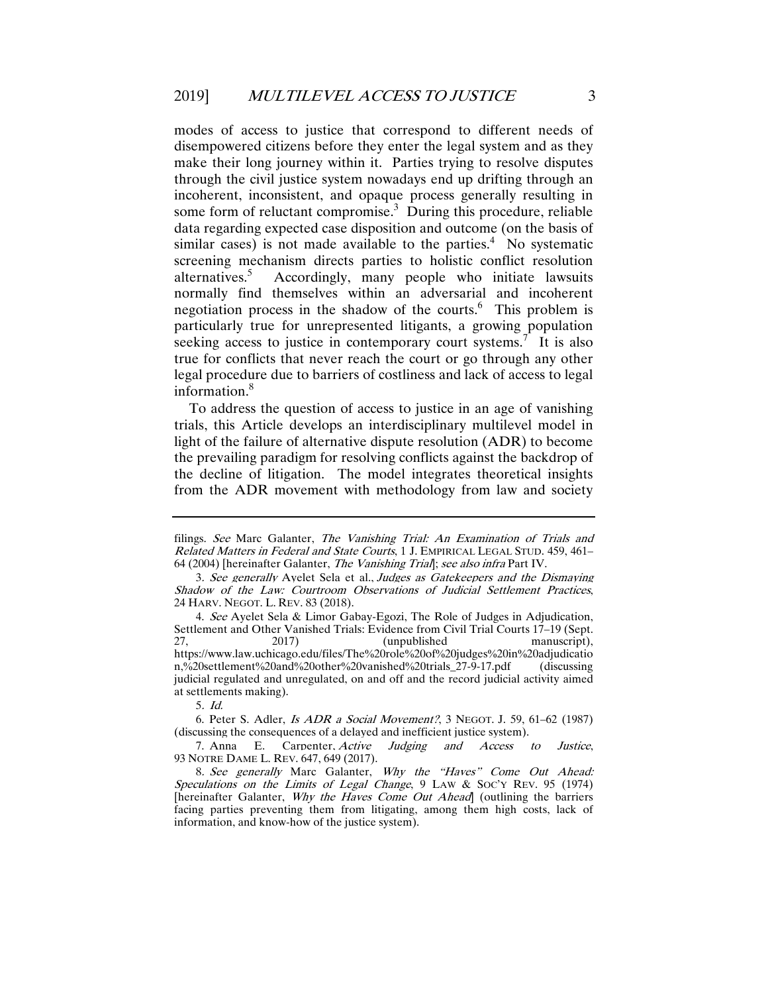modes of access to justice that correspond to different needs of disempowered citizens before they enter the legal system and as they make their long journey within it. Parties trying to resolve disputes through the civil justice system nowadays end up drifting through an incoherent, inconsistent, and opaque process generally resulting in some form of reluctant compromise.<sup>3</sup> During this procedure, reliable data regarding expected case disposition and outcome (on the basis of similar cases) is not made available to the parties. $4$  No systematic screening mechanism directs parties to holistic conflict resolution alternatives.<sup>5</sup> Accordingly, many people who initiate lawsuits normally find themselves within an adversarial and incoherent negotiation process in the shadow of the courts.<sup>6</sup> This problem is particularly true for unrepresented litigants, a growing population seeking access to justice in contemporary court systems.<sup>7</sup> It is also true for conflicts that never reach the court or go through any other legal procedure due to barriers of costliness and lack of access to legal information.<sup>8</sup>

To address the question of access to justice in an age of vanishing trials, this Article develops an interdisciplinary multilevel model in light of the failure of alternative dispute resolution (ADR) to become the prevailing paradigm for resolving conflicts against the backdrop of the decline of litigation. The model integrates theoretical insights from the ADR movement with methodology from law and society

filings. See Marc Galanter, The Vanishing Trial: An Examination of Trials and Related Matters in Federal and State Courts, 1 J. EMPIRICAL LEGAL STUD. 459, 461– 64 (2004) [hereinafter Galanter, The Vanishing Trial]; see also infra Part IV.

<sup>3</sup>. See generally Ayelet Sela et al., Judges as Gatekeepers and the Dismaying Shadow of the Law: Courtroom Observations of Judicial Settlement Practices, 24 HARV. NEGOT. L. REV. 83 (2018).

 <sup>4.</sup> See Ayelet Sela & Limor Gabay-Egozi, The Role of Judges in Adjudication, Settlement and Other Vanished Trials: Evidence from Civil Trial Courts 17–19 (Sept. 27, 2017) (unpublished manuscript), https://www.law.uchicago.edu/files/The%20role%20of%20judges%20in%20adjudicatio n,%20settlement%20and%20other%20vanished%20trials\_27-9-17.pdf judicial regulated and unregulated, on and off and the record judicial activity aimed at settlements making).

<sup>5</sup>. Id.

 <sup>6.</sup> Peter S. Adler, Is ADR a Social Movement?, 3 NEGOT. J. 59, 61–62 (1987) (discussing the consequences of a delayed and inefficient justice system).

 <sup>7.</sup> Anna E. Carpenter, Active Judging and Access to Justice, 93 NOTRE DAME L. REV. 647, 649 (2017).

<sup>8</sup>. See generally Marc Galanter, Why the "Haves" Come Out Ahead: Speculations on the Limits of Legal Change, 9 LAW & Soc'y REV. 95 (1974) [hereinafter Galanter, Why the Haves Come Out Ahead] (outlining the barriers facing parties preventing them from litigating, among them high costs, lack of information, and know-how of the justice system).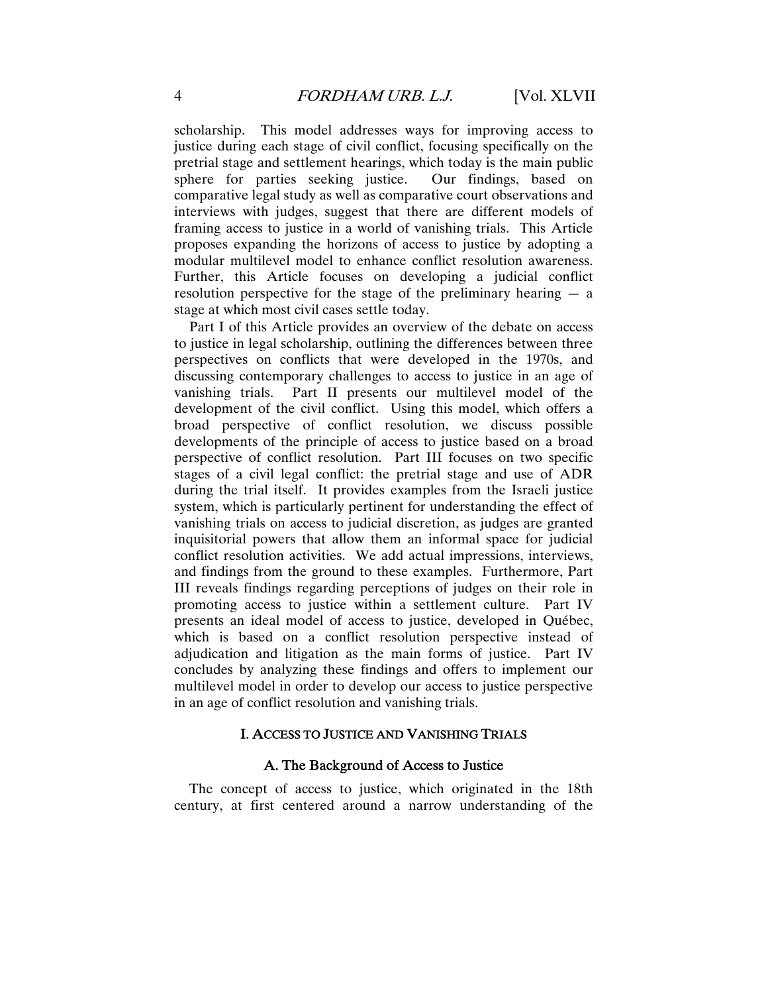scholarship. This model addresses ways for improving access to justice during each stage of civil conflict, focusing specifically on the pretrial stage and settlement hearings, which today is the main public sphere for parties seeking justice. Our findings, based on comparative legal study as well as comparative court observations and interviews with judges, suggest that there are different models of framing access to justice in a world of vanishing trials. This Article proposes expanding the horizons of access to justice by adopting a modular multilevel model to enhance conflict resolution awareness. Further, this Article focuses on developing a judicial conflict resolution perspective for the stage of the preliminary hearing  $-$  a stage at which most civil cases settle today.

Part I of this Article provides an overview of the debate on access to justice in legal scholarship, outlining the differences between three perspectives on conflicts that were developed in the 1970s, and discussing contemporary challenges to access to justice in an age of vanishing trials. Part II presents our multilevel model of the development of the civil conflict. Using this model, which offers a broad perspective of conflict resolution, we discuss possible developments of the principle of access to justice based on a broad perspective of conflict resolution. Part III focuses on two specific stages of a civil legal conflict: the pretrial stage and use of ADR during the trial itself. It provides examples from the Israeli justice system, which is particularly pertinent for understanding the effect of vanishing trials on access to judicial discretion, as judges are granted inquisitorial powers that allow them an informal space for judicial conflict resolution activities. We add actual impressions, interviews, and findings from the ground to these examples. Furthermore, Part III reveals findings regarding perceptions of judges on their role in promoting access to justice within a settlement culture. Part IV presents an ideal model of access to justice, developed in Québec, which is based on a conflict resolution perspective instead of adjudication and litigation as the main forms of justice. Part IV concludes by analyzing these findings and offers to implement our multilevel model in order to develop our access to justice perspective in an age of conflict resolution and vanishing trials.

#### I. ACCESS TO JUSTICE AND VANISHING TRIALS

#### A. The Background of Access to Justice

The concept of access to justice, which originated in the 18th century, at first centered around a narrow understanding of the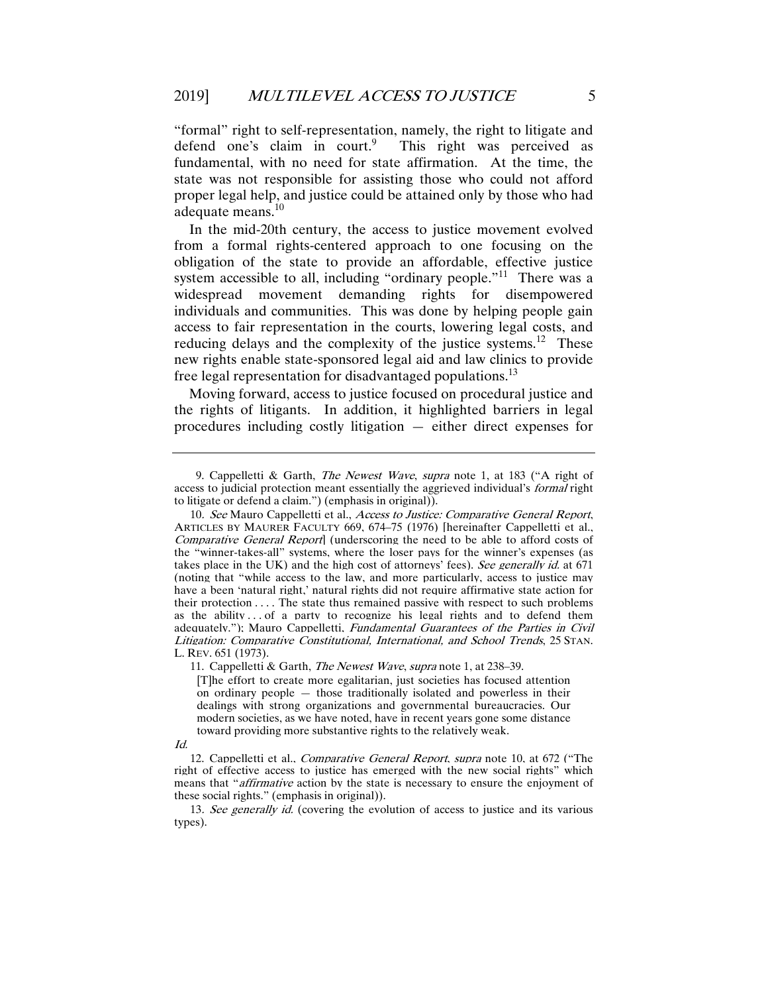"formal" right to self-representation, namely, the right to litigate and defend one's claim in court.<sup>9</sup> This right was perceived as fundamental, with no need for state affirmation. At the time, the state was not responsible for assisting those who could not afford proper legal help, and justice could be attained only by those who had adequate means.<sup>10</sup>

In the mid-20th century, the access to justice movement evolved from a formal rights-centered approach to one focusing on the obligation of the state to provide an affordable, effective justice system accessible to all, including "ordinary people."<sup>11</sup> There was a widespread movement demanding rights for disempowered individuals and communities. This was done by helping people gain access to fair representation in the courts, lowering legal costs, and reducing delays and the complexity of the justice systems.<sup>12</sup> These new rights enable state-sponsored legal aid and law clinics to provide free legal representation for disadvantaged populations.<sup>13</sup>

Moving forward, access to justice focused on procedural justice and the rights of litigants. In addition, it highlighted barriers in legal procedures including costly litigation — either direct expenses for

 <sup>9.</sup> Cappelletti & Garth, The Newest Wave, supra note 1, at 183 ("A right of access to judicial protection meant essentially the aggrieved individual's *formal* right to litigate or defend a claim.") (emphasis in original)).

<sup>10.</sup> See Mauro Cappelletti et al., Access to Justice: Comparative General Report, ARTICLES BY MAURER FACULTY 669, 674–75 (1976) [hereinafter Cappelletti et al., Comparative General Report] (underscoring the need to be able to afford costs of the "winner-takes-all" systems, where the loser pays for the winner's expenses (as takes place in the UK) and the high cost of attorneys' fees). See generally id. at 671 (noting that "while access to the law, and more particularly, access to justice may have a been 'natural right,' natural rights did not require affirmative state action for their protection . . . . The state thus remained passive with respect to such problems as the ability . . . of a party to recognize his legal rights and to defend them adequately."); Mauro Cappelletti, Fundamental Guarantees of the Parties in Civil Litigation: Comparative Constitutional, International, and School Trends, 25 STAN. L. REV. 651 (1973).

<sup>11.</sup> Cappelletti & Garth, *The Newest Wave, supra* note 1, at 238–39.

<sup>[</sup>T]he effort to create more egalitarian, just societies has focused attention on ordinary people — those traditionally isolated and powerless in their dealings with strong organizations and governmental bureaucracies. Our modern societies, as we have noted, have in recent years gone some distance toward providing more substantive rights to the relatively weak.

Id.

 <sup>12.</sup> Cappelletti et al., Comparative General Report, supra note 10, at 672 ("The right of effective access to justice has emerged with the new social rights" which means that "*affirmative* action by the state is necessary to ensure the enjoyment of these social rights." (emphasis in original)).

<sup>13.</sup> See generally id. (covering the evolution of access to justice and its various types).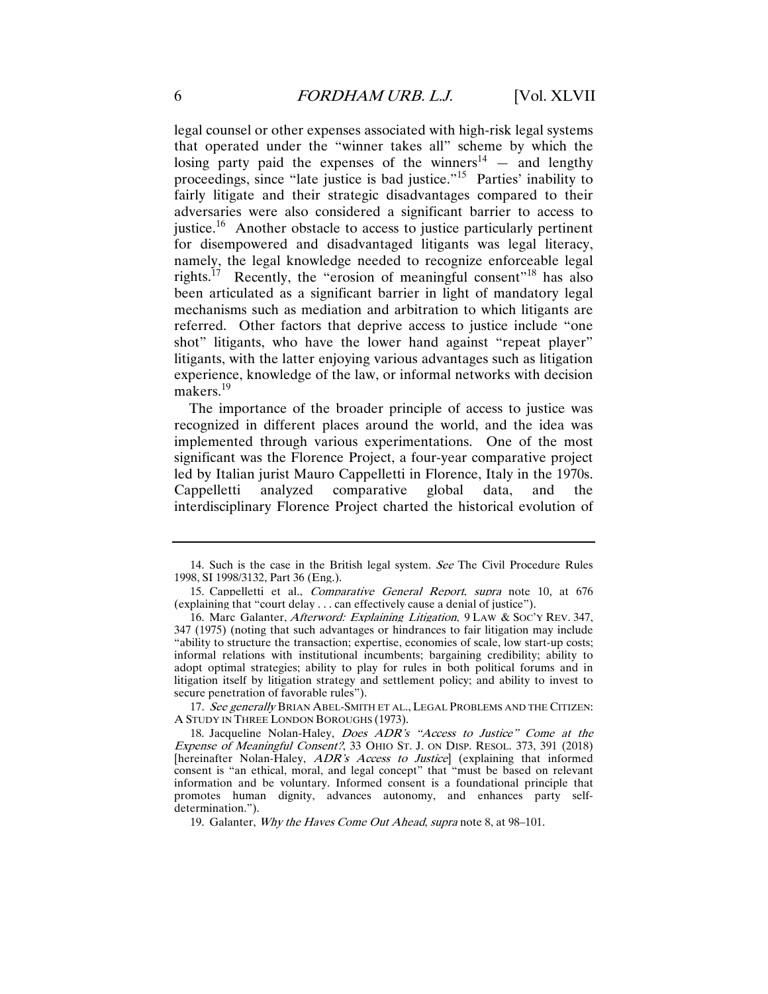legal counsel or other expenses associated with high-risk legal systems that operated under the "winner takes all" scheme by which the losing party paid the expenses of the winners<sup>14</sup>  $-$  and lengthy proceedings, since "late justice is bad justice."<sup>15</sup> Parties' inability to fairly litigate and their strategic disadvantages compared to their adversaries were also considered a significant barrier to access to justice.<sup>16</sup> Another obstacle to access to justice particularly pertinent for disempowered and disadvantaged litigants was legal literacy, namely, the legal knowledge needed to recognize enforceable legal rights.<sup>17</sup> Recently, the "erosion of meaningful consent"<sup>18</sup> has also been articulated as a significant barrier in light of mandatory legal mechanisms such as mediation and arbitration to which litigants are referred. Other factors that deprive access to justice include "one shot" litigants, who have the lower hand against "repeat player" litigants, with the latter enjoying various advantages such as litigation experience, knowledge of the law, or informal networks with decision makers.<sup>19</sup>

The importance of the broader principle of access to justice was recognized in different places around the world, and the idea was implemented through various experimentations. One of the most significant was the Florence Project, a four-year comparative project led by Italian jurist Mauro Cappelletti in Florence, Italy in the 1970s. Cappelletti analyzed comparative global data, and the interdisciplinary Florence Project charted the historical evolution of

17. See generally BRIAN ABEL-SMITH ET AL., LEGAL PROBLEMS AND THE CITIZEN: A STUDY IN THREE LONDON BOROUGHS (1973).

19. Galanter, Why the Haves Come Out Ahead, supra note 8, at 98-101.

 <sup>14.</sup> Such is the case in the British legal system. See The Civil Procedure Rules 1998, SI 1998/3132, Part 36 (Eng.).

 <sup>15.</sup> Cappelletti et al., Comparative General Report, supra note 10, at 676 (explaining that "court delay . . . can effectively cause a denial of justice").

 <sup>16.</sup> Marc Galanter, Afterword: Explaining Litigation, 9 LAW & SOC'Y REV. 347, 347 (1975) (noting that such advantages or hindrances to fair litigation may include "ability to structure the transaction; expertise, economies of scale, low start-up costs; informal relations with institutional incumbents; bargaining credibility; ability to adopt optimal strategies; ability to play for rules in both political forums and in litigation itself by litigation strategy and settlement policy; and ability to invest to secure penetration of favorable rules").

 <sup>18.</sup> Jacqueline Nolan-Haley, Does ADR's "Access to Justice" Come at the Expense of Meaningful Consent?, 33 OHIO ST. J. ON DISP. RESOL. 373, 391 (2018) [hereinafter Nolan-Haley, ADR's Access to Justice] (explaining that informed consent is "an ethical, moral, and legal concept" that "must be based on relevant information and be voluntary. Informed consent is a foundational principle that promotes human dignity, advances autonomy, and enhances party selfdetermination.").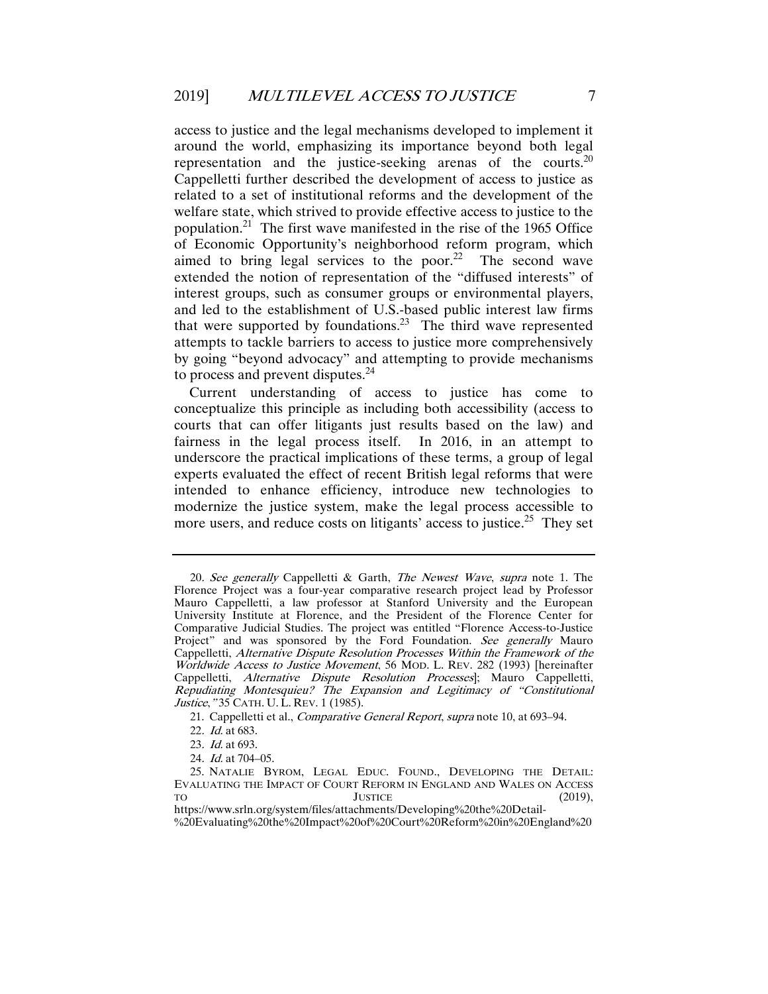access to justice and the legal mechanisms developed to implement it around the world, emphasizing its importance beyond both legal representation and the justice-seeking arenas of the courts.<sup>20</sup> Cappelletti further described the development of access to justice as related to a set of institutional reforms and the development of the welfare state, which strived to provide effective access to justice to the population.21 The first wave manifested in the rise of the 1965 Office of Economic Opportunity's neighborhood reform program, which aimed to bring legal services to the poor.<sup>22</sup> The second wave extended the notion of representation of the "diffused interests" of interest groups, such as consumer groups or environmental players, and led to the establishment of U.S.-based public interest law firms that were supported by foundations.<sup>23</sup> The third wave represented attempts to tackle barriers to access to justice more comprehensively by going "beyond advocacy" and attempting to provide mechanisms to process and prevent disputes.<sup>24</sup>

Current understanding of access to justice has come to conceptualize this principle as including both accessibility (access to courts that can offer litigants just results based on the law) and fairness in the legal process itself. In 2016, in an attempt to underscore the practical implications of these terms, a group of legal experts evaluated the effect of recent British legal reforms that were intended to enhance efficiency, introduce new technologies to modernize the justice system, make the legal process accessible to more users, and reduce costs on litigants' access to justice.<sup>25</sup> They set

<sup>20.</sup> See generally Cappelletti & Garth, The Newest Wave, supra note 1. The Florence Project was a four-year comparative research project lead by Professor Mauro Cappelletti, a law professor at Stanford University and the European University Institute at Florence, and the President of the Florence Center for Comparative Judicial Studies. The project was entitled "Florence Access-to-Justice Project" and was sponsored by the Ford Foundation. See generally Mauro Cappelletti, Alternative Dispute Resolution Processes Within the Framework of the Worldwide Access to Justice Movement, 56 MOD. L. REV. 282 (1993) [hereinafter Cappelletti, Alternative Dispute Resolution Processes]; Mauro Cappelletti, Repudiating Montesquieu? The Expansion and Legitimacy of "Constitutional Justice, "35 CATH. U. L. REV. 1 (1985).

 <sup>21.</sup> Cappelletti et al., Comparative General Report, supra note 10, at 693–94.

<sup>22</sup>. Id. at 683.

<sup>23</sup>. Id. at 693.

<sup>24</sup>. Id. at 704–05.

 <sup>25.</sup> NATALIE BYROM, LEGAL EDUC. FOUND., DEVELOPING THE DETAIL: EVALUATING THE IMPACT OF COURT REFORM IN ENGLAND AND WALES ON ACCESS TO  $J$ USTICE (2019). TO JUSTICE (2019), https://www.srln.org/system/files/attachments/Developing%20the%20Detail-

<sup>%</sup>20Evaluating%20the%20Impact%20of%20Court%20Reform%20in%20England%20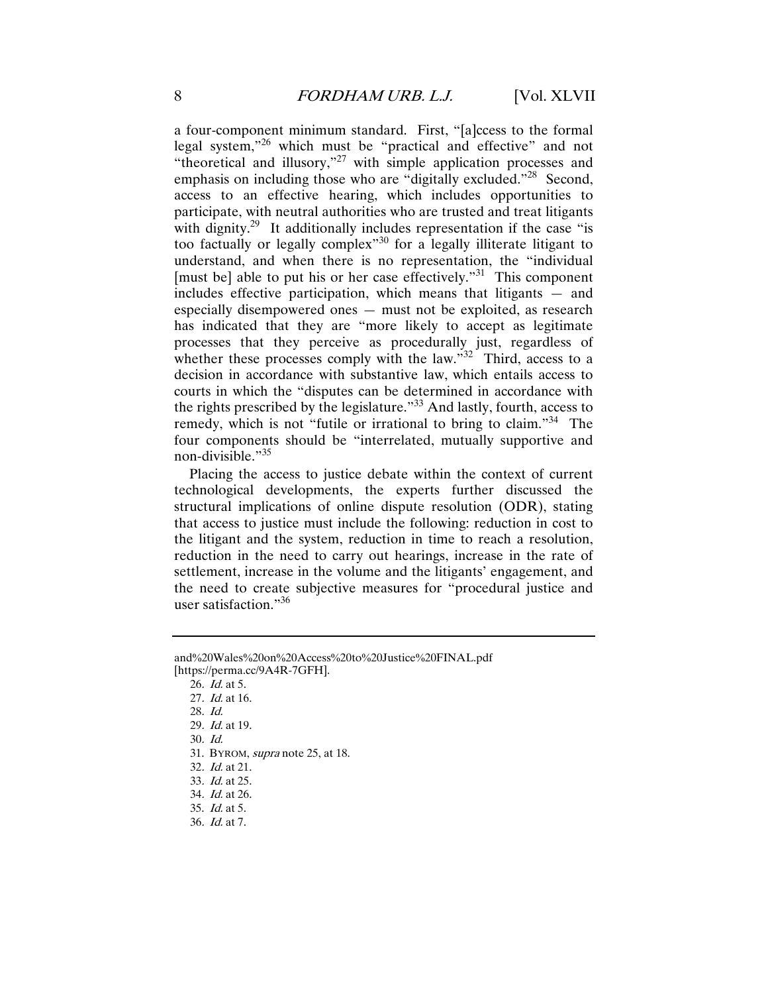a four-component minimum standard. First, "[a]ccess to the formal legal system,"26 which must be "practical and effective" and not "theoretical and illusory,"27 with simple application processes and emphasis on including those who are "digitally excluded."<sup>28</sup> Second, access to an effective hearing, which includes opportunities to participate, with neutral authorities who are trusted and treat litigants with dignity.<sup>29</sup> It additionally includes representation if the case "is too factually or legally complex"30 for a legally illiterate litigant to understand, and when there is no representation, the "individual [must be] able to put his or her case effectively."31 This component includes effective participation, which means that litigants — and especially disempowered ones — must not be exploited, as research has indicated that they are "more likely to accept as legitimate processes that they perceive as procedurally just, regardless of whether these processes comply with the law." $32^\circ$  Third, access to a decision in accordance with substantive law, which entails access to courts in which the "disputes can be determined in accordance with the rights prescribed by the legislature."33 And lastly, fourth, access to remedy, which is not "futile or irrational to bring to claim."<sup>34</sup> The four components should be "interrelated, mutually supportive and non-divisible."<sup>35</sup>

Placing the access to justice debate within the context of current technological developments, the experts further discussed the structural implications of online dispute resolution (ODR), stating that access to justice must include the following: reduction in cost to the litigant and the system, reduction in time to reach a resolution, reduction in the need to carry out hearings, increase in the rate of settlement, increase in the volume and the litigants' engagement, and the need to create subjective measures for "procedural justice and user satisfaction."36

31. BYROM, supra note 25, at 18.

- 33. Id. at 25.
- 34. Id. at 26.
- 35. Id. at 5.
- 36. Id. at 7.

and%20Wales%20on%20Access%20to%20Justice%20FINAL.pdf [https://perma.cc/9A4R-7GFH].

<sup>26</sup>. Id. at 5.

<sup>27</sup>. Id. at 16.

<sup>28</sup>. Id.

<sup>29</sup>. Id. at 19.

<sup>30</sup>. Id.

<sup>32</sup>. Id. at 21.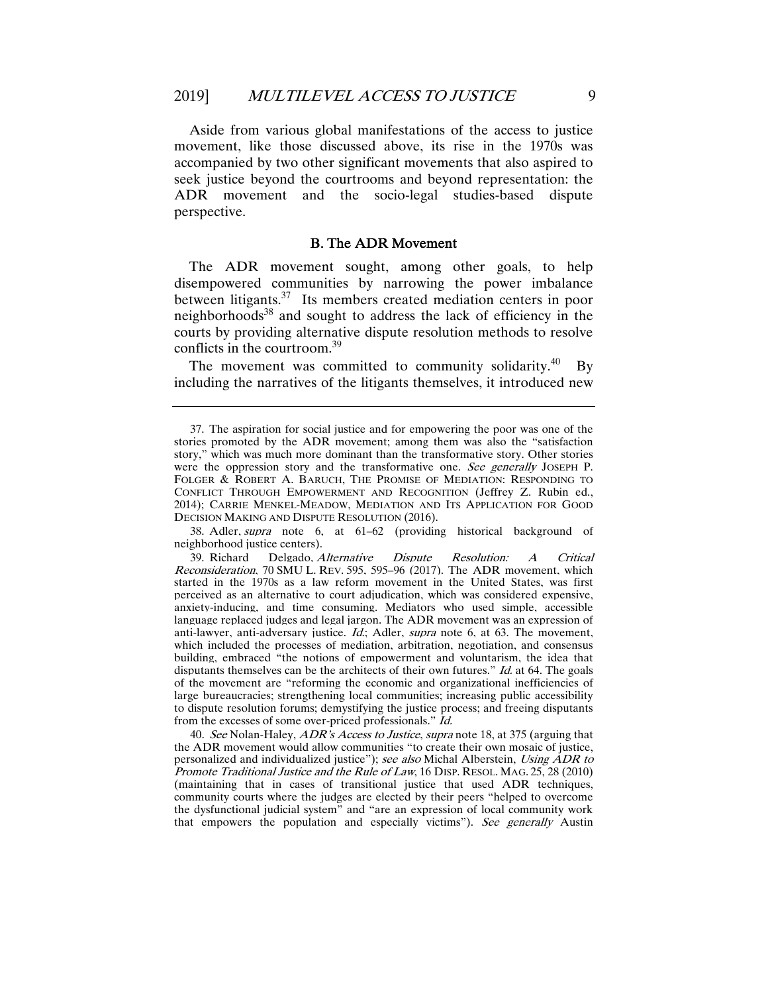Aside from various global manifestations of the access to justice movement, like those discussed above, its rise in the 1970s was accompanied by two other significant movements that also aspired to seek justice beyond the courtrooms and beyond representation: the ADR movement and the socio-legal studies-based dispute perspective.

#### B. The ADR Movement

The ADR movement sought, among other goals, to help disempowered communities by narrowing the power imbalance between litigants.37 Its members created mediation centers in poor neighborhoods<sup>38</sup> and sought to address the lack of efficiency in the courts by providing alternative dispute resolution methods to resolve conflicts in the courtroom.<sup>39</sup>

The movement was committed to community solidarity.<sup>40</sup> By including the narratives of the litigants themselves, it introduced new

 38. Adler, supra note 6, at 61–62 (providing historical background of neighborhood justice centers).

 39. Richard Delgado, Alternative Dispute Resolution: A Critical Reconsideration, 70 SMU L. REV. 595, 595–96 (2017). The ADR movement, which started in the 1970s as a law reform movement in the United States, was first perceived as an alternative to court adjudication, which was considered expensive, anxiety-inducing, and time consuming. Mediators who used simple, accessible language replaced judges and legal jargon. The ADR movement was an expression of anti-lawyer, anti-adversary justice. *Id.*; Adler, *supra* note 6, at 63. The movement, which included the processes of mediation, arbitration, negotiation, and consensus building, embraced "the notions of empowerment and voluntarism, the idea that disputants themselves can be the architects of their own futures."  $Id$  at 64. The goals of the movement are "reforming the economic and organizational inefficiencies of large bureaucracies; strengthening local communities; increasing public accessibility to dispute resolution forums; demystifying the justice process; and freeing disputants from the excesses of some over-priced professionals." Id.

40. See Nolan-Haley, ADR's Access to Justice, supra note 18, at 375 (arguing that the ADR movement would allow communities "to create their own mosaic of justice, personalized and individualized justice"); see also Michal Alberstein, Using ADR to Promote Traditional Justice and the Rule of Law, 16 DISP. RESOL. MAG. 25, 28 (2010) (maintaining that in cases of transitional justice that used ADR techniques, community courts where the judges are elected by their peers "helped to overcome the dysfunctional judicial system" and "are an expression of local community work that empowers the population and especially victims"). See generally Austin

 <sup>37.</sup> The aspiration for social justice and for empowering the poor was one of the stories promoted by the ADR movement; among them was also the "satisfaction story," which was much more dominant than the transformative story. Other stories were the oppression story and the transformative one. See generally JOSEPH P. FOLGER & ROBERT A. BARUCH, THE PROMISE OF MEDIATION: RESPONDING TO CONFLICT THROUGH EMPOWERMENT AND RECOGNITION (Jeffrey Z. Rubin ed., 2014); CARRIE MENKEL-MEADOW, MEDIATION AND ITS APPLICATION FOR GOOD DECISION MAKING AND DISPUTE RESOLUTION (2016).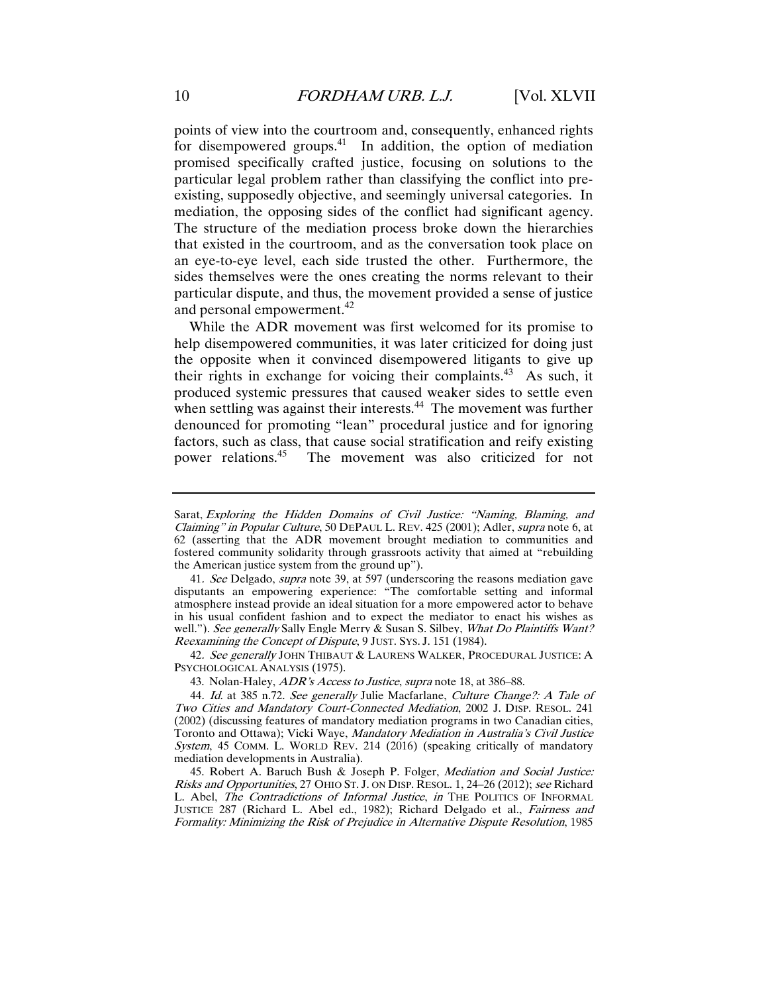points of view into the courtroom and, consequently, enhanced rights for disempowered groups.<sup>41</sup> In addition, the option of mediation promised specifically crafted justice, focusing on solutions to the particular legal problem rather than classifying the conflict into preexisting, supposedly objective, and seemingly universal categories. In mediation, the opposing sides of the conflict had significant agency. The structure of the mediation process broke down the hierarchies that existed in the courtroom, and as the conversation took place on an eye-to-eye level, each side trusted the other. Furthermore, the sides themselves were the ones creating the norms relevant to their particular dispute, and thus, the movement provided a sense of justice and personal empowerment.<sup>42</sup>

While the ADR movement was first welcomed for its promise to help disempowered communities, it was later criticized for doing just the opposite when it convinced disempowered litigants to give up their rights in exchange for voicing their complaints.<sup>43</sup> As such, it produced systemic pressures that caused weaker sides to settle even when settling was against their interests.<sup>44</sup> The movement was further denounced for promoting "lean" procedural justice and for ignoring factors, such as class, that cause social stratification and reify existing power relations.45 The movement was also criticized for not

41. See Delgado, supra note 39, at 597 (underscoring the reasons mediation gave disputants an empowering experience: "The comfortable setting and informal atmosphere instead provide an ideal situation for a more empowered actor to behave in his usual confident fashion and to expect the mediator to enact his wishes as well."). See generally Sally Engle Merry & Susan S. Silbey. What Do Plaintiffs Want? Reexamining the Concept of Dispute, 9 JUST. SYS. J. 151 (1984).

42. See generally JOHN THIBAUT & LAURENS WALKER, PROCEDURAL JUSTICE: A PSYCHOLOGICAL ANALYSIS (1975).

43. Nolan-Haley, *ADR's Access to Justice, supra* note 18, at 386–88.

Sarat, Exploring the Hidden Domains of Civil Justice: "Naming, Blaming, and Claiming" in Popular Culture, 50 DEPAUL L. REV. 425 (2001); Adler, supra note 6, at 62 (asserting that the ADR movement brought mediation to communities and fostered community solidarity through grassroots activity that aimed at "rebuilding the American justice system from the ground up").

<sup>44.</sup> Id. at 385 n.72. See generally Julie Macfarlane, Culture Change?: A Tale of Two Cities and Mandatory Court-Connected Mediation, 2002 J. DISP. RESOL. 241 (2002) (discussing features of mandatory mediation programs in two Canadian cities, Toronto and Ottawa); Vicki Waye, Mandatory Mediation in Australia's Civil Justice System, 45 COMM. L. WORLD REV. 214 (2016) (speaking critically of mandatory mediation developments in Australia).

 <sup>45.</sup> Robert A. Baruch Bush & Joseph P. Folger, Mediation and Social Justice: Risks and Opportunities, 27 OHIO ST. J. ON DISP. RESOL. 1, 24–26 (2012); see Richard L. Abel, The Contradictions of Informal Justice, in THE POLITICS OF INFORMAL JUSTICE 287 (Richard L. Abel ed., 1982); Richard Delgado et al., Fairness and Formality: Minimizing the Risk of Prejudice in Alternative Dispute Resolution, 1985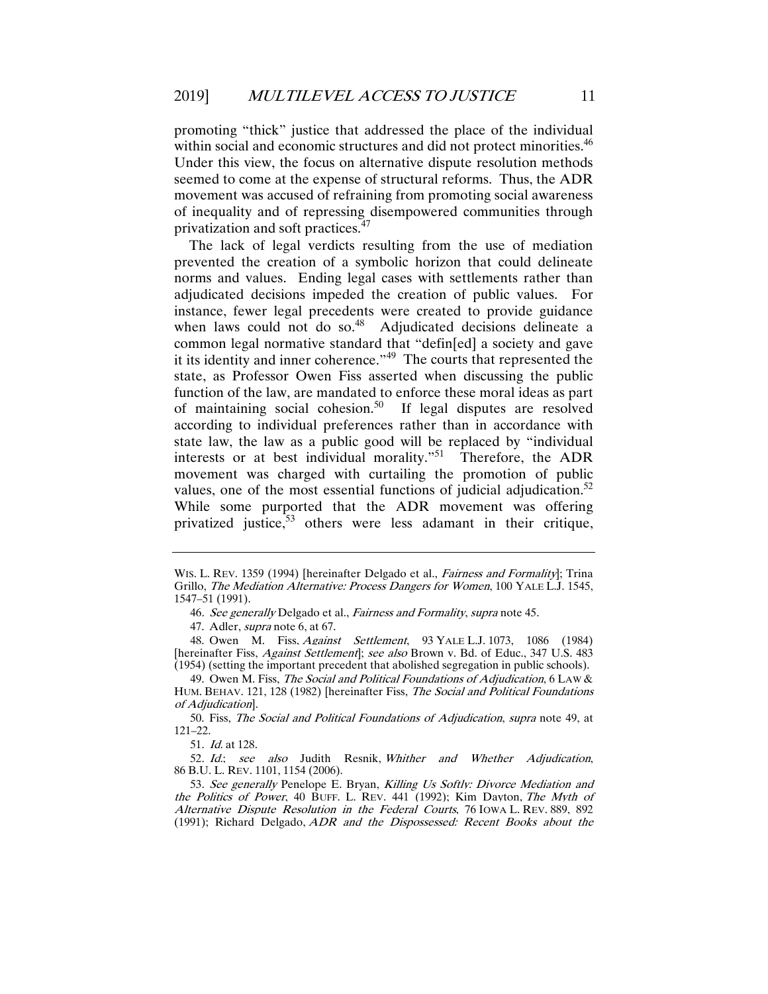promoting "thick" justice that addressed the place of the individual within social and economic structures and did not protect minorities.<sup>46</sup> Under this view, the focus on alternative dispute resolution methods seemed to come at the expense of structural reforms. Thus, the ADR movement was accused of refraining from promoting social awareness of inequality and of repressing disempowered communities through privatization and soft practices.<sup>47</sup>

The lack of legal verdicts resulting from the use of mediation prevented the creation of a symbolic horizon that could delineate norms and values. Ending legal cases with settlements rather than adjudicated decisions impeded the creation of public values. For instance, fewer legal precedents were created to provide guidance when laws could not do so. $48$  Adjudicated decisions delineate a common legal normative standard that "defin[ed] a society and gave it its identity and inner coherence."49 The courts that represented the state, as Professor Owen Fiss asserted when discussing the public function of the law, are mandated to enforce these moral ideas as part of maintaining social cohesion.<sup>50</sup> If legal disputes are resolved according to individual preferences rather than in accordance with state law, the law as a public good will be replaced by "individual interests or at best individual morality."<sup>51</sup> Therefore, the ADR movement was charged with curtailing the promotion of public values, one of the most essential functions of judicial adjudication.<sup>52</sup> While some purported that the ADR movement was offering privatized justice,<sup>53</sup> others were less adamant in their critique,

WIS. L. REV. 1359 (1994) [hereinafter Delgado et al., Fairness and Formality]; Trina Grillo, The Mediation Alternative: Process Dangers for Women, 100 YALE L.J. 1545, 1547–51 (1991).

<sup>46</sup>. See generally Delgado et al., Fairness and Formality, supra note 45.

 <sup>47.</sup> Adler, supra note 6, at 67.

 <sup>48.</sup> Owen M. Fiss, Against Settlement, 93 YALE L.J. 1073, 1086 (1984) [hereinafter Fiss, *Against Settlement*]; see also Brown v. Bd. of Educ., 347 U.S. 483 (1954) (setting the important precedent that abolished segregation in public schools).

 <sup>49.</sup> Owen M. Fiss, The Social and Political Foundations of Adjudication, 6 LAW & HUM. BEHAV. 121, 128 (1982) [hereinafter Fiss, The Social and Political Foundations of Adjudication].

 <sup>50.</sup> Fiss, The Social and Political Foundations of Adjudication, supra note 49, at 121–22.

<sup>51</sup>. Id. at 128.

<sup>52</sup>. Id.; see also Judith Resnik, Whither and Whether Adjudication, 86 B.U. L. REV. 1101, 1154 (2006).

<sup>53</sup>. See generally Penelope E. Bryan, Killing Us Softly: Divorce Mediation and the Politics of Power, 40 BUFF. L. REV. 441 (1992); Kim Dayton, The Myth of Alternative Dispute Resolution in the Federal Courts, 76 IOWA L. REV. 889, 892 (1991); Richard Delgado, ADR and the Dispossessed: Recent Books about the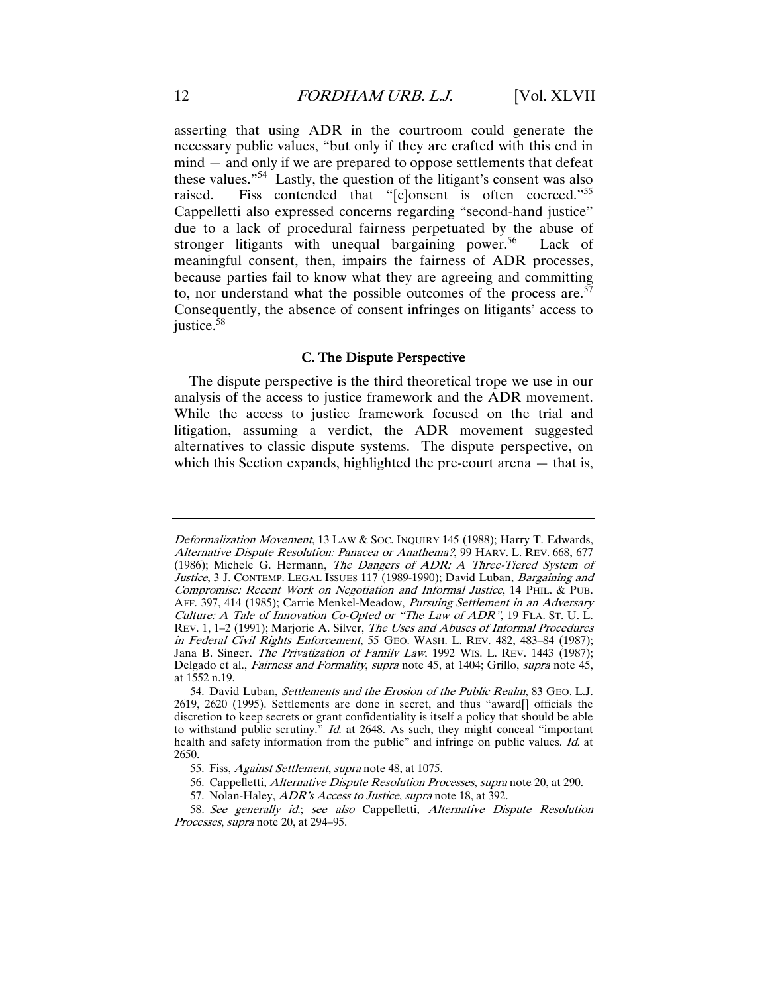asserting that using ADR in the courtroom could generate the necessary public values, "but only if they are crafted with this end in mind — and only if we are prepared to oppose settlements that defeat these values."54 Lastly, the question of the litigant's consent was also raised. Fiss contended that "[c]onsent is often coerced."<sup>55</sup> Cappelletti also expressed concerns regarding "second-hand justice" due to a lack of procedural fairness perpetuated by the abuse of stronger litigants with unequal bargaining power.<sup>56</sup> Lack of meaningful consent, then, impairs the fairness of ADR processes, because parties fail to know what they are agreeing and committing to, nor understand what the possible outcomes of the process are.<sup> $57$ </sup> Consequently, the absence of consent infringes on litigants' access to justice.<sup>58</sup>

#### C. The Dispute Perspective

The dispute perspective is the third theoretical trope we use in our analysis of the access to justice framework and the ADR movement. While the access to justice framework focused on the trial and litigation, assuming a verdict, the ADR movement suggested alternatives to classic dispute systems. The dispute perspective, on which this Section expands, highlighted the pre-court arena — that is,

Deformalization Movement, 13 LAW & SOC. INQUIRY 145 (1988); Harry T. Edwards, Alternative Dispute Resolution: Panacea or Anathema?, 99 HARV. L. REV. 668, 677 (1986); Michele G. Hermann, The Dangers of ADR: A Three-Tiered System of Justice, 3 J. CONTEMP. LEGAL ISSUES 117 (1989-1990); David Luban, Bargaining and Compromise: Recent Work on Negotiation and Informal Justice, 14 PHIL. & PUB. AFF. 397, 414 (1985); Carrie Menkel-Meadow, Pursuing Settlement in an Adversary Culture: A Tale of Innovation Co-Opted or "The Law of ADR", 19 FLA. ST. U. L. REV. 1, 1–2 (1991); Marjorie A. Silver, The Uses and Abuses of Informal Procedures in Federal Civil Rights Enforcement, 55 GEO. WASH. L. REV. 482, 483–84 (1987); Jana B. Singer, *The Privatization of Family Law*, 1992 WIS. L. REV. 1443 (1987); Delgado et al., *Fairness and Formality, supra* note 45, at 1404; Grillo, *supra* note 45, at 1552 n.19.

 <sup>54.</sup> David Luban, Settlements and the Erosion of the Public Realm, 83 GEO. L.J. 2619, 2620 (1995). Settlements are done in secret, and thus "award[] officials the discretion to keep secrets or grant confidentiality is itself a policy that should be able to withstand public scrutiny." *Id.* at 2648. As such, they might conceal "important" health and safety information from the public" and infringe on public values. Id. at 2650.

 <sup>55.</sup> Fiss, Against Settlement, supra note 48, at 1075.

 <sup>56.</sup> Cappelletti, Alternative Dispute Resolution Processes, supra note 20, at 290.

 <sup>57.</sup> Nolan-Haley, ADR's Access to Justice, supra note 18, at 392.

<sup>58</sup>. See generally id.; see also Cappelletti, Alternative Dispute Resolution Processes, supra note 20, at 294–95.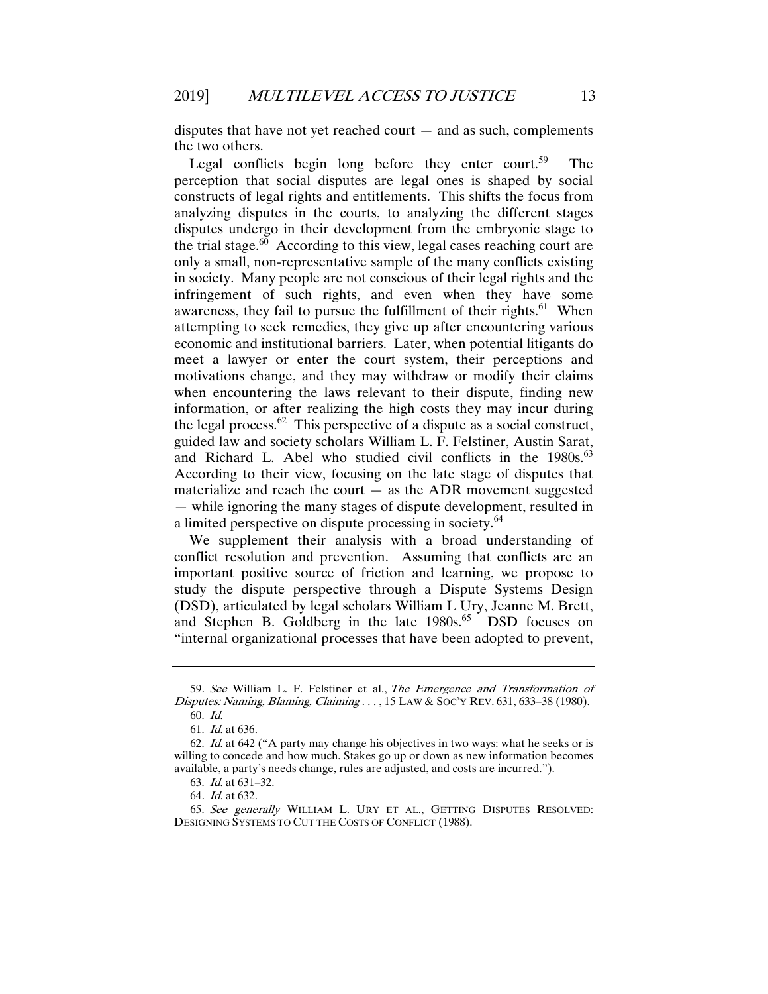disputes that have not yet reached court  $-$  and as such, complements the two others.

Legal conflicts begin long before they enter court.<sup>59</sup> The perception that social disputes are legal ones is shaped by social constructs of legal rights and entitlements. This shifts the focus from analyzing disputes in the courts, to analyzing the different stages disputes undergo in their development from the embryonic stage to the trial stage. $60$  According to this view, legal cases reaching court are only a small, non-representative sample of the many conflicts existing in society. Many people are not conscious of their legal rights and the infringement of such rights, and even when they have some awareness, they fail to pursue the fulfillment of their rights.<sup>61</sup> When attempting to seek remedies, they give up after encountering various economic and institutional barriers. Later, when potential litigants do meet a lawyer or enter the court system, their perceptions and motivations change, and they may withdraw or modify their claims when encountering the laws relevant to their dispute, finding new information, or after realizing the high costs they may incur during the legal process. $62$  This perspective of a dispute as a social construct, guided law and society scholars William L. F. Felstiner, Austin Sarat, and Richard L. Abel who studied civil conflicts in the 1980s.<sup>63</sup> According to their view, focusing on the late stage of disputes that materialize and reach the court  $-$  as the ADR movement suggested — while ignoring the many stages of dispute development, resulted in a limited perspective on dispute processing in society.<sup>64</sup>

We supplement their analysis with a broad understanding of conflict resolution and prevention. Assuming that conflicts are an important positive source of friction and learning, we propose to study the dispute perspective through a Dispute Systems Design (DSD), articulated by legal scholars William L Ury, Jeanne M. Brett, and Stephen B. Goldberg in the late  $1980s$ .<sup>65</sup> DSD focuses on "internal organizational processes that have been adopted to prevent,

<sup>59</sup>. See William L. F. Felstiner et al., The Emergence and Transformation of Disputes: Naming, Blaming, Claiming . . . , 15 LAW & SOC'Y REV. 631, 633–38 (1980).

<sup>60</sup>. Id.

<sup>61</sup>. Id. at 636.

<sup>62</sup>. Id. at 642 ("A party may change his objectives in two ways: what he seeks or is willing to concede and how much. Stakes go up or down as new information becomes available, a party's needs change, rules are adjusted, and costs are incurred.").

<sup>63</sup>. Id. at 631–32.

<sup>64</sup>. Id. at 632.

<sup>65</sup>. See generally WILLIAM L. URY ET AL., GETTING DISPUTES RESOLVED: DESIGNING SYSTEMS TO CUT THE COSTS OF CONFLICT (1988).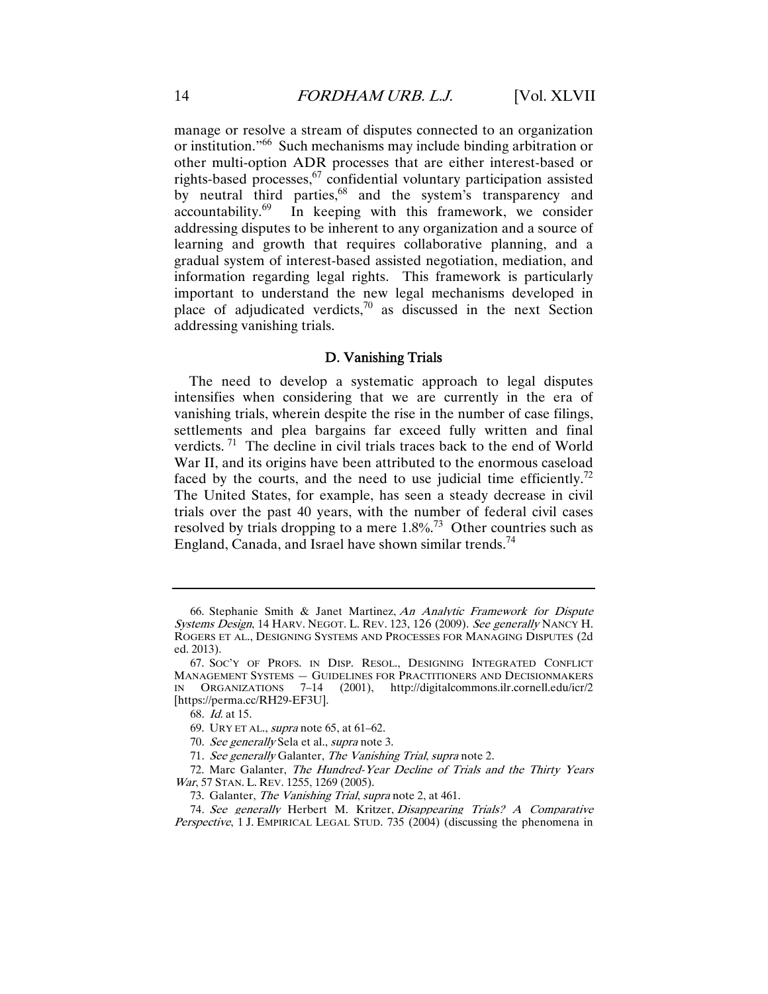manage or resolve a stream of disputes connected to an organization or institution."66 Such mechanisms may include binding arbitration or other multi-option ADR processes that are either interest-based or rights-based processes,<sup>67</sup> confidential voluntary participation assisted by neutral third parties,<sup>68</sup> and the system's transparency and accountability.69 In keeping with this framework, we consider addressing disputes to be inherent to any organization and a source of learning and growth that requires collaborative planning, and a gradual system of interest-based assisted negotiation, mediation, and information regarding legal rights. This framework is particularly important to understand the new legal mechanisms developed in place of adjudicated verdicts, $70$  as discussed in the next Section addressing vanishing trials.

#### D. Vanishing Trials

The need to develop a systematic approach to legal disputes intensifies when considering that we are currently in the era of vanishing trials, wherein despite the rise in the number of case filings, settlements and plea bargains far exceed fully written and final verdicts.  $71$  The decline in civil trials traces back to the end of World War II, and its origins have been attributed to the enormous caseload faced by the courts, and the need to use judicial time efficiently.<sup>72</sup> The United States, for example, has seen a steady decrease in civil trials over the past 40 years, with the number of federal civil cases resolved by trials dropping to a mere  $1.8\%$ <sup>73</sup> Other countries such as England, Canada, and Israel have shown similar trends.<sup>74</sup>

 <sup>66.</sup> Stephanie Smith & Janet Martinez, An Analytic Framework for Dispute Systems Design, 14 HARV. NEGOT. L. REV. 123, 126 (2009). See generally NANCY H. ROGERS ET AL., DESIGNING SYSTEMS AND PROCESSES FOR MANAGING DISPUTES (2d ed. 2013).

 <sup>67.</sup> SOC'Y OF PROFS. IN DISP. RESOL., DESIGNING INTEGRATED CONFLICT MANAGEMENT SYSTEMS — GUIDELINES FOR PRACTITIONERS AND DECISIONMAKERS IN ORGANIZATIONS 7–14 (2001), http://digitalcommons.ilr.cornell.edu/icr/2 [https://perma.cc/RH29-EF3U].

<sup>68</sup>. Id. at 15.

 <sup>69.</sup> URY ET AL., supra note 65, at 61–62.

<sup>70.</sup> See generally Sela et al., *supra* note 3.

<sup>71</sup>. See generally Galanter, The Vanishing Trial, supra note 2.

 <sup>72.</sup> Marc Galanter, The Hundred-Year Decline of Trials and the Thirty Years War, 57 STAN. L. REV. 1255, 1269 (2005).

 <sup>73.</sup> Galanter, The Vanishing Trial, supra note 2, at 461.

<sup>74</sup>. See generally Herbert M. Kritzer, Disappearing Trials? A Comparative Perspective, 1 J. EMPIRICAL LEGAL STUD. 735 (2004) (discussing the phenomena in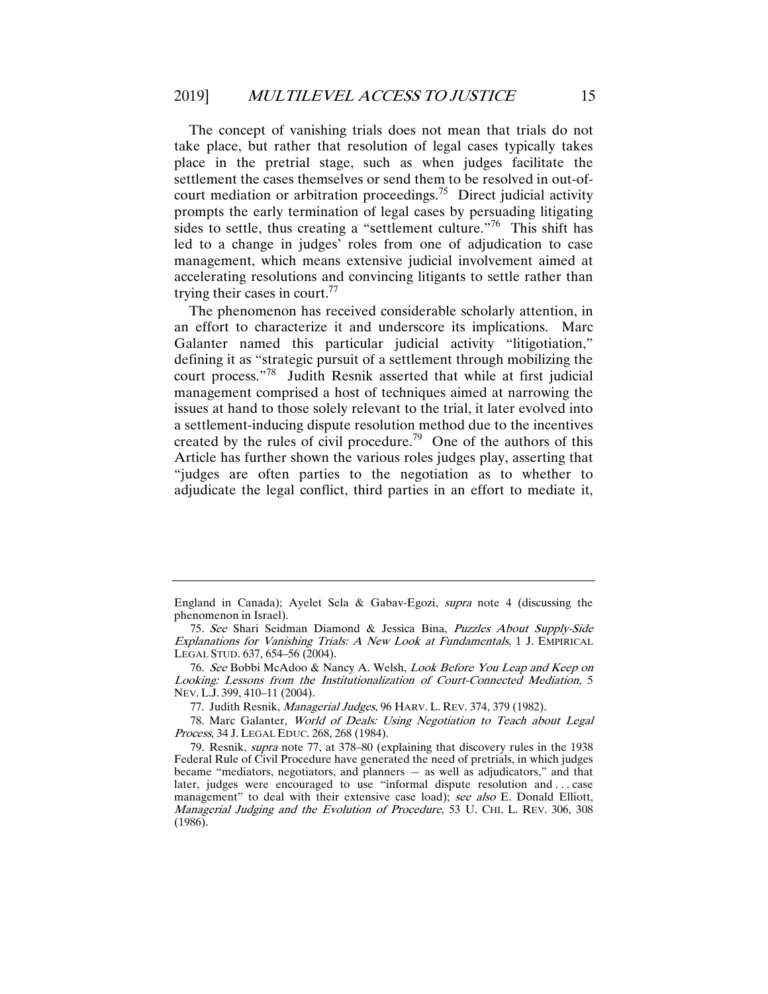The concept of vanishing trials does not mean that trials do not take place, but rather that resolution of legal cases typically takes place in the pretrial stage, such as when judges facilitate the settlement the cases themselves or send them to be resolved in out-ofcourt mediation or arbitration proceedings.<sup>75</sup> Direct judicial activity prompts the early termination of legal cases by persuading litigating sides to settle, thus creating a "settlement culture."<sup>76</sup> This shift has led to a change in judges' roles from one of adjudication to case management, which means extensive judicial involvement aimed at accelerating resolutions and convincing litigants to settle rather than trying their cases in court.<sup>77</sup>

The phenomenon has received considerable scholarly attention, in an effort to characterize it and underscore its implications. Marc Galanter named this particular judicial activity "litigotiation," defining it as "strategic pursuit of a settlement through mobilizing the court process."78 Judith Resnik asserted that while at first judicial management comprised a host of techniques aimed at narrowing the issues at hand to those solely relevant to the trial, it later evolved into a settlement-inducing dispute resolution method due to the incentives created by the rules of civil procedure.<sup>79</sup> One of the authors of this Article has further shown the various roles judges play, asserting that "judges are often parties to the negotiation as to whether to adjudicate the legal conflict, third parties in an effort to mediate it,

England in Canada); Ayelet Sela & Gabav-Egozi, supra note 4 (discussing the phenomenon in Israel).

<sup>75</sup>. See Shari Seidman Diamond & Jessica Bina, Puzzles About Supply-Side Explanations for Vanishing Trials: A New Look at Fundamentals, 1 J. EMPIRICAL LEGAL STUD. 637, 654–56 (2004).

<sup>76</sup>. See Bobbi McAdoo & Nancy A. Welsh, Look Before You Leap and Keep on Looking: Lessons from the Institutionalization of Court-Connected Mediation, 5 NEV. L.J. 399, 410–11 (2004).

 <sup>77.</sup> Judith Resnik, Managerial Judges, 96 HARV. L. REV. 374, 379 (1982).

 <sup>78.</sup> Marc Galanter, World of Deals: Using Negotiation to Teach about Legal Process, 34 J. LEGAL EDUC. 268, 268 (1984).

 <sup>79.</sup> Resnik, supra note 77, at 378–80 (explaining that discovery rules in the 1938 Federal Rule of Civil Procedure have generated the need of pretrials, in which judges became "mediators, negotiators, and planners — as well as adjudicators," and that later, judges were encouraged to use "informal dispute resolution and . . . case management" to deal with their extensive case load); see also E. Donald Elliott, Managerial Judging and the Evolution of Procedure, 53 U. CHI. L. REV. 306, 308 (1986).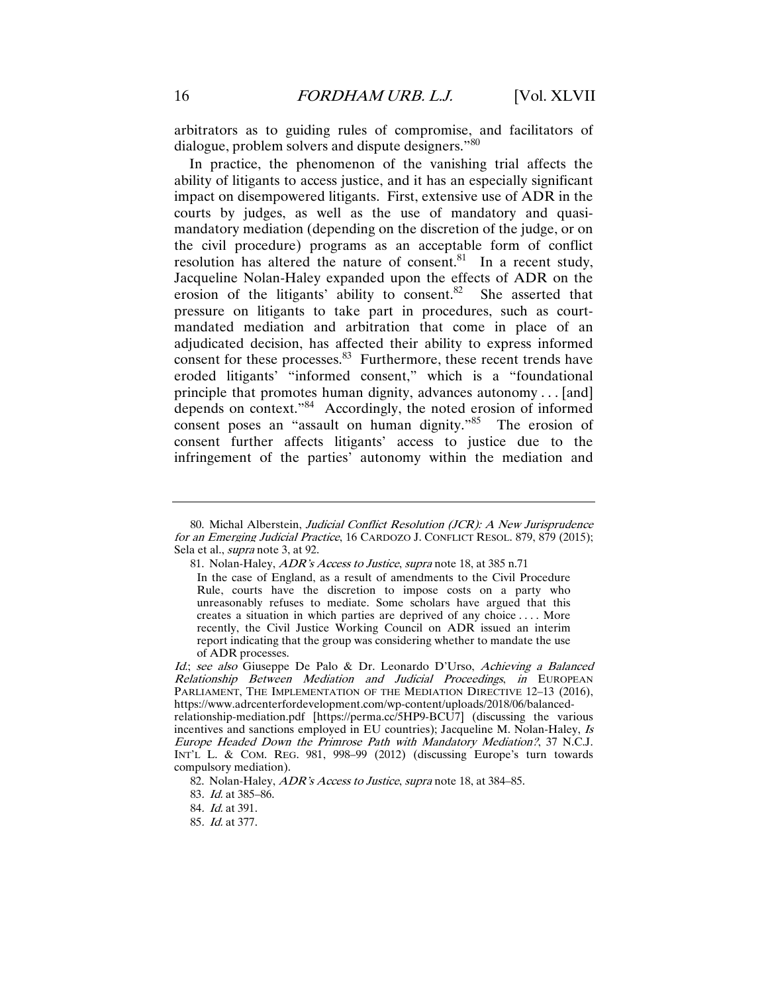arbitrators as to guiding rules of compromise, and facilitators of dialogue, problem solvers and dispute designers."<sup>80</sup>

In practice, the phenomenon of the vanishing trial affects the ability of litigants to access justice, and it has an especially significant impact on disempowered litigants. First, extensive use of ADR in the courts by judges, as well as the use of mandatory and quasimandatory mediation (depending on the discretion of the judge, or on the civil procedure) programs as an acceptable form of conflict resolution has altered the nature of consent.<sup>81</sup> In a recent study, Jacqueline Nolan-Haley expanded upon the effects of ADR on the erosion of the litigants' ability to consent.<sup>82</sup> She asserted that pressure on litigants to take part in procedures, such as courtmandated mediation and arbitration that come in place of an adjudicated decision, has affected their ability to express informed consent for these processes. $83$  Furthermore, these recent trends have eroded litigants' "informed consent," which is a "foundational principle that promotes human dignity, advances autonomy . . . [and] depends on context."84 Accordingly, the noted erosion of informed consent poses an "assault on human dignity."<sup>85</sup> The erosion of consent further affects litigants' access to justice due to the infringement of the parties' autonomy within the mediation and

 <sup>80.</sup> Michal Alberstein, Judicial Conflict Resolution (JCR): A New Jurisprudence for an Emerging Judicial Practice, 16 CARDOZO J. CONFLICT RESOL. 879, 879 (2015); Sela et al., *supra* note 3, at 92.

 <sup>81.</sup> Nolan-Haley, ADR's Access to Justice, supra note 18, at 385 n.71

In the case of England, as a result of amendments to the Civil Procedure Rule, courts have the discretion to impose costs on a party who unreasonably refuses to mediate. Some scholars have argued that this creates a situation in which parties are deprived of any choice . . . . More recently, the Civil Justice Working Council on ADR issued an interim report indicating that the group was considering whether to mandate the use of ADR processes.

Id.; see also Giuseppe De Palo & Dr. Leonardo D'Urso, Achieving a Balanced Relationship Between Mediation and Judicial Proceedings, in EUROPEAN PARLIAMENT, THE IMPLEMENTATION OF THE MEDIATION DIRECTIVE 12-13 (2016), https://www.adrcenterfordevelopment.com/wp-content/uploads/2018/06/balancedrelationship-mediation.pdf [https://perma.cc/5HP9-BCU7] (discussing the various incentives and sanctions employed in EU countries); Jacqueline M. Nolan-Haley, Is Europe Headed Down the Primrose Path with Mandatory Mediation?, 37 N.C.J. INT'L L. & COM. REG. 981, 998–99 (2012) (discussing Europe's turn towards compulsory mediation).

<sup>82.</sup> Nolan-Haley, ADR's Access to Justice, supra note 18, at 384-85.

<sup>83</sup>. Id. at 385–86.

<sup>84</sup>. Id. at 391.

<sup>85</sup>. Id. at 377.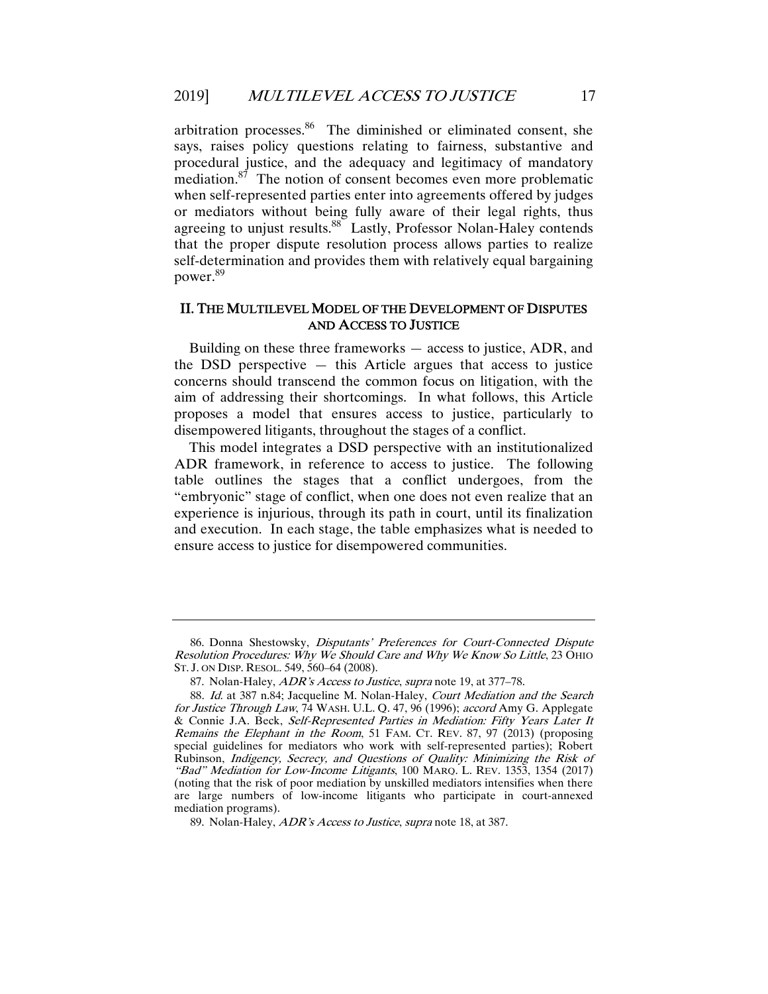arbitration processes. $86$  The diminished or eliminated consent, she says, raises policy questions relating to fairness, substantive and procedural justice, and the adequacy and legitimacy of mandatory mediation. $87$  The notion of consent becomes even more problematic when self-represented parties enter into agreements offered by judges or mediators without being fully aware of their legal rights, thus agreeing to unjust results.<sup>88</sup> Lastly, Professor Nolan-Haley contends that the proper dispute resolution process allows parties to realize self-determination and provides them with relatively equal bargaining power.89

#### II. THE MULTILEVEL MODEL OF THE DEVELOPMENT OF DISPUTES AND ACCESS TO JUSTICE

Building on these three frameworks — access to justice, ADR, and the DSD perspective  $-$  this Article argues that access to justice concerns should transcend the common focus on litigation, with the aim of addressing their shortcomings. In what follows, this Article proposes a model that ensures access to justice, particularly to disempowered litigants, throughout the stages of a conflict.

This model integrates a DSD perspective with an institutionalized ADR framework, in reference to access to justice. The following table outlines the stages that a conflict undergoes, from the "embryonic" stage of conflict, when one does not even realize that an experience is injurious, through its path in court, until its finalization and execution. In each stage, the table emphasizes what is needed to ensure access to justice for disempowered communities.

 <sup>86.</sup> Donna Shestowsky, Disputants' Preferences for Court-Connected Dispute Resolution Procedures: Why We Should Care and Why We Know So Little, 23 OHIO ST. J. ON DISP. RESOL. 549, 560–64 (2008).

<sup>87.</sup> Nolan-Haley, *ADR's Access to Justice*, *supra* note 19, at 377-78.

<sup>88</sup>. Id. at 387 n.84; Jacqueline M. Nolan-Haley, Court Mediation and the Search for Justice Through Law, 74 WASH. U.L. Q. 47, 96 (1996); accord Amy G. Applegate & Connie J.A. Beck, Self-Represented Parties in Mediation: Fifty Years Later It Remains the Elephant in the Room, 51 FAM. CT. REV. 87, 97 (2013) (proposing special guidelines for mediators who work with self-represented parties); Robert Rubinson, Indigency, Secrecy, and Questions of Quality: Minimizing the Risk of "Bad" Mediation for Low-Income Litigants, 100 MARQ. L. REV. 1353, 1354 (2017) (noting that the risk of poor mediation by unskilled mediators intensifies when there are large numbers of low-income litigants who participate in court-annexed mediation programs).

 <sup>89.</sup> Nolan-Haley, ADR's Access to Justice, supra note 18, at 387.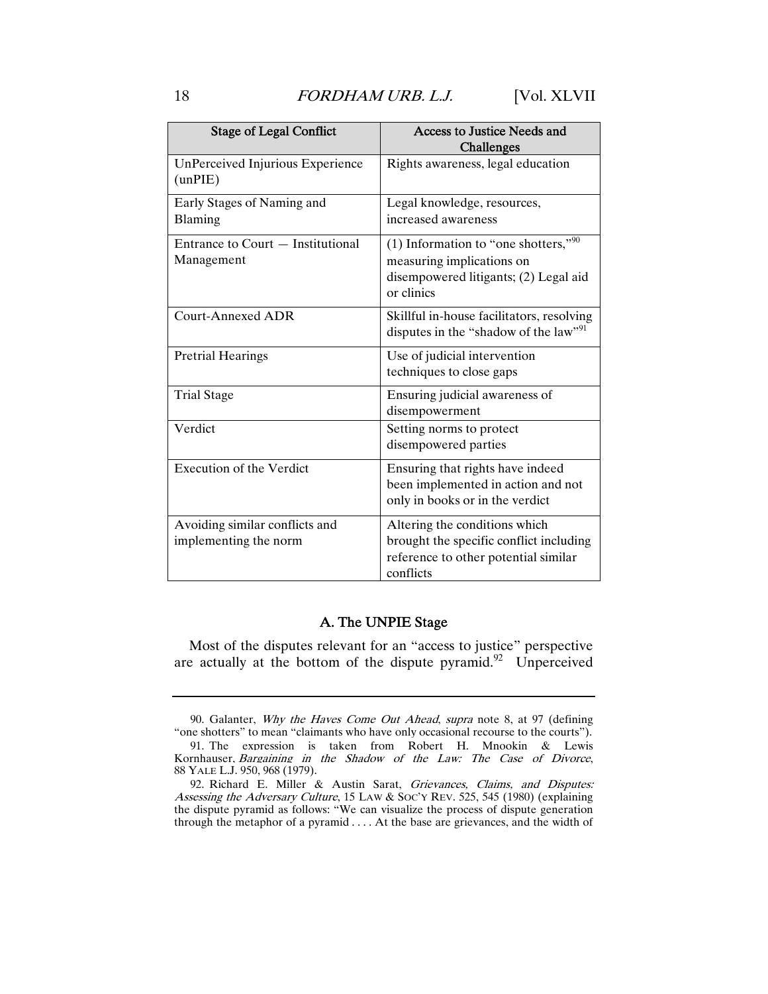| <b>Stage of Legal Conflict</b>                          | Access to Justice Needs and<br>Challenges                                                                                     |
|---------------------------------------------------------|-------------------------------------------------------------------------------------------------------------------------------|
| UnPerceived Injurious Experience<br>(unPIE)             | Rights awareness, legal education                                                                                             |
| Early Stages of Naming and<br><b>Blaming</b>            | Legal knowledge, resources,<br>increased awareness                                                                            |
| Entrance to Court - Institutional<br>Management         | (1) Information to "one shotters," $90$<br>measuring implications on<br>disempowered litigants; (2) Legal aid<br>or clinics   |
| Court-Annexed ADR                                       | Skillful in-house facilitators, resolving<br>disputes in the "shadow of the law" <sup>91</sup>                                |
| <b>Pretrial Hearings</b>                                | Use of judicial intervention<br>techniques to close gaps                                                                      |
| <b>Trial Stage</b>                                      | Ensuring judicial awareness of<br>disempowerment                                                                              |
| Verdict                                                 | Setting norms to protect<br>disempowered parties                                                                              |
| <b>Execution of the Verdict</b>                         | Ensuring that rights have indeed<br>been implemented in action and not<br>only in books or in the verdict                     |
| Avoiding similar conflicts and<br>implementing the norm | Altering the conditions which<br>brought the specific conflict including<br>reference to other potential similar<br>conflicts |

#### A. The UNPIE Stage

Most of the disputes relevant for an "access to justice" perspective are actually at the bottom of the dispute pyramid. $92$  Unperceived

 <sup>90.</sup> Galanter, Why the Haves Come Out Ahead, supra note 8, at 97 (defining "one shotters" to mean "claimants who have only occasional recourse to the courts").

 <sup>91.</sup> The expression is taken from Robert H. Mnookin & Lewis Kornhauser, Bargaining in the Shadow of the Law: The Case of Divorce, 88 YALE L.J. 950, 968 (1979).

 <sup>92.</sup> Richard E. Miller & Austin Sarat, Grievances, Claims, and Disputes: Assessing the Adversary Culture, 15 LAW & Soc'y REV. 525, 545 (1980) (explaining the dispute pyramid as follows: "We can visualize the process of dispute generation through the metaphor of a pyramid . . . . At the base are grievances, and the width of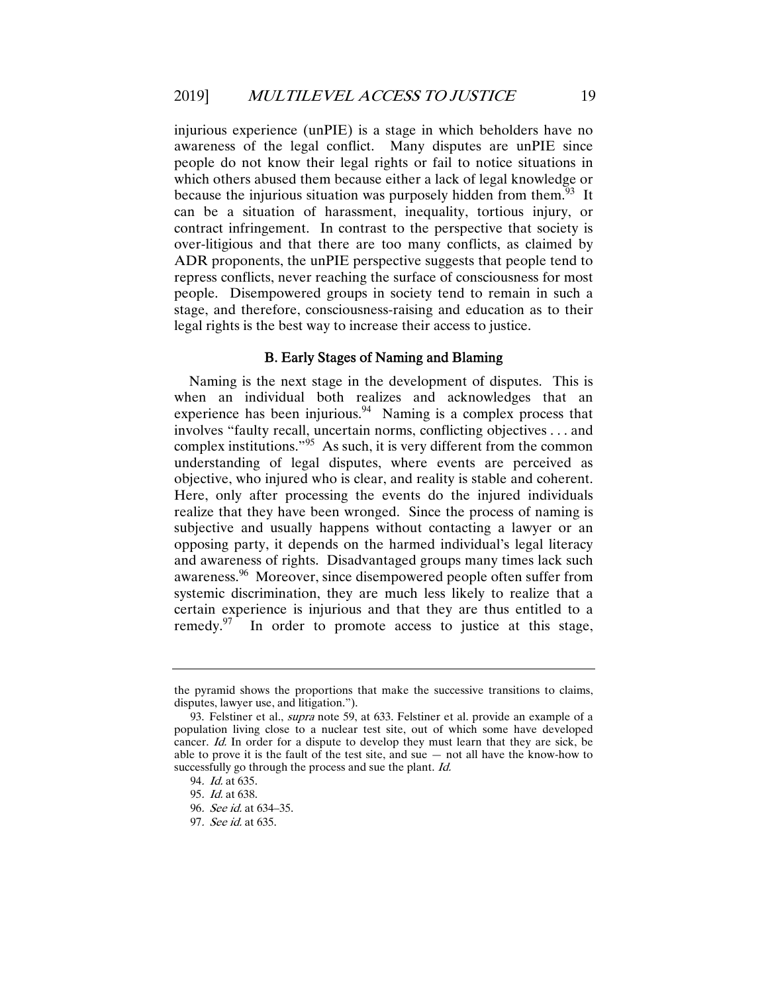injurious experience (unPIE) is a stage in which beholders have no awareness of the legal conflict. Many disputes are unPIE since people do not know their legal rights or fail to notice situations in which others abused them because either a lack of legal knowledge or because the injurious situation was purposely hidden from them.<sup>93</sup> It can be a situation of harassment, inequality, tortious injury, or contract infringement. In contrast to the perspective that society is over-litigious and that there are too many conflicts, as claimed by ADR proponents, the unPIE perspective suggests that people tend to repress conflicts, never reaching the surface of consciousness for most people. Disempowered groups in society tend to remain in such a stage, and therefore, consciousness-raising and education as to their legal rights is the best way to increase their access to justice.

#### B. Early Stages of Naming and Blaming

Naming is the next stage in the development of disputes. This is when an individual both realizes and acknowledges that an experience has been injurious.<sup>94</sup> Naming is a complex process that involves "faulty recall, uncertain norms, conflicting objectives . . . and complex institutions."95 As such, it is very different from the common understanding of legal disputes, where events are perceived as objective, who injured who is clear, and reality is stable and coherent. Here, only after processing the events do the injured individuals realize that they have been wronged. Since the process of naming is subjective and usually happens without contacting a lawyer or an opposing party, it depends on the harmed individual's legal literacy and awareness of rights. Disadvantaged groups many times lack such awareness.<sup>96</sup> Moreover, since disempowered people often suffer from systemic discrimination, they are much less likely to realize that a certain experience is injurious and that they are thus entitled to a remedy. $97$  In order to promote access to justice at this stage,

the pyramid shows the proportions that make the successive transitions to claims, disputes, lawyer use, and litigation.").

 <sup>93.</sup> Felstiner et al., supra note 59, at 633. Felstiner et al. provide an example of a population living close to a nuclear test site, out of which some have developed cancer. Id. In order for a dispute to develop they must learn that they are sick, be able to prove it is the fault of the test site, and sue — not all have the know-how to successfully go through the process and sue the plant. Id.

<sup>94</sup>. Id. at 635.

<sup>95</sup>. Id. at 638.

<sup>96</sup>. See id. at 634–35.

<sup>97</sup>. See id. at 635.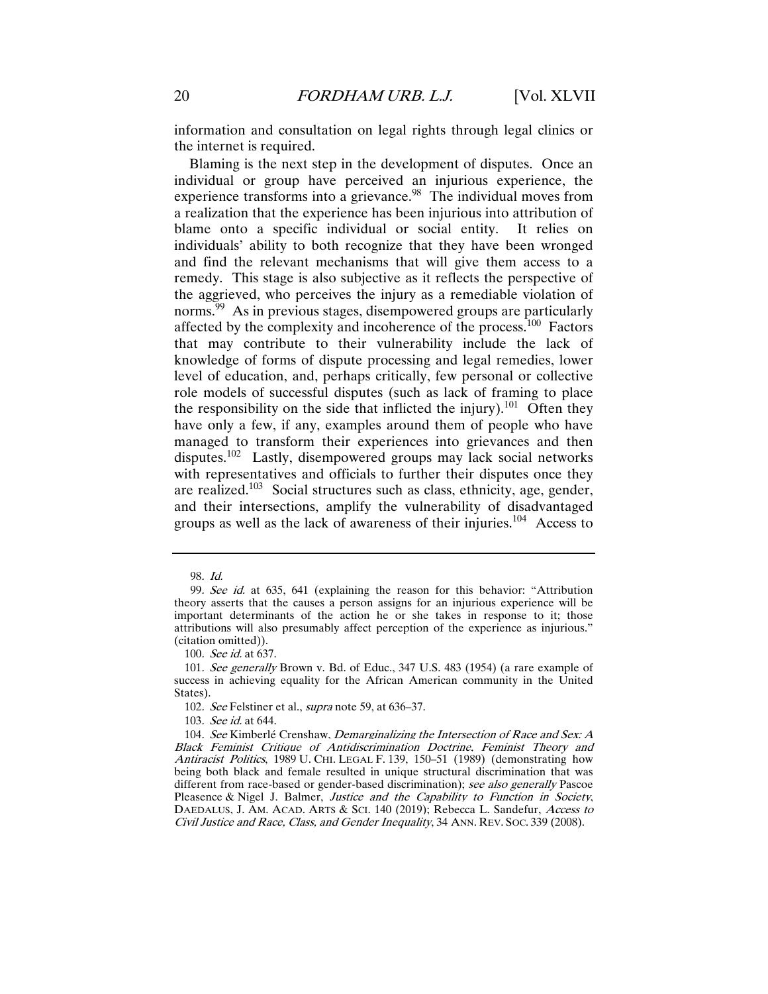information and consultation on legal rights through legal clinics or the internet is required.

Blaming is the next step in the development of disputes. Once an individual or group have perceived an injurious experience, the experience transforms into a grievance.<sup>98</sup> The individual moves from a realization that the experience has been injurious into attribution of blame onto a specific individual or social entity. It relies on individuals' ability to both recognize that they have been wronged and find the relevant mechanisms that will give them access to a remedy. This stage is also subjective as it reflects the perspective of the aggrieved, who perceives the injury as a remediable violation of norms.<sup>99</sup> As in previous stages, disempowered groups are particularly affected by the complexity and incoherence of the process.<sup>100</sup> Factors that may contribute to their vulnerability include the lack of knowledge of forms of dispute processing and legal remedies, lower level of education, and, perhaps critically, few personal or collective role models of successful disputes (such as lack of framing to place the responsibility on the side that inflicted the injury).<sup>101</sup> Often they have only a few, if any, examples around them of people who have managed to transform their experiences into grievances and then disputes.102 Lastly, disempowered groups may lack social networks with representatives and officials to further their disputes once they are realized.<sup>103</sup> Social structures such as class, ethnicity, age, gender, and their intersections, amplify the vulnerability of disadvantaged groups as well as the lack of awareness of their injuries.<sup>104</sup> Access to

100. See id. at 637.

102. See Felstiner et al., *supra* note 59, at 636–37.

103. See id. at 644.

<sup>98</sup>. Id.

<sup>99</sup>. See id. at 635, 641 (explaining the reason for this behavior: "Attribution theory asserts that the causes a person assigns for an injurious experience will be important determinants of the action he or she takes in response to it; those attributions will also presumably affect perception of the experience as injurious." (citation omitted)).

<sup>101</sup>. See generally Brown v. Bd. of Educ., 347 U.S. 483 (1954) (a rare example of success in achieving equality for the African American community in the United States).

<sup>104.</sup> See Kimberlé Crenshaw, *Demarginalizing the Intersection of Race and Sex: A* Black Feminist Critique of Antidiscrimination Doctrine, Feminist Theory and Antiracist Politics, 1989 U. CHI. LEGAL F. 139, 150-51 (1989) (demonstrating how being both black and female resulted in unique structural discrimination that was different from race-based or gender-based discrimination); see also generally Pascoe Pleasence & Nigel J. Balmer, Justice and the Capability to Function in Society, DAEDALUS, J. AM. ACAD. ARTS & SCI. 140 (2019); Rebecca L. Sandefur, Access to Civil Justice and Race, Class, and Gender Inequality, 34 ANN. REV. SOC. 339 (2008).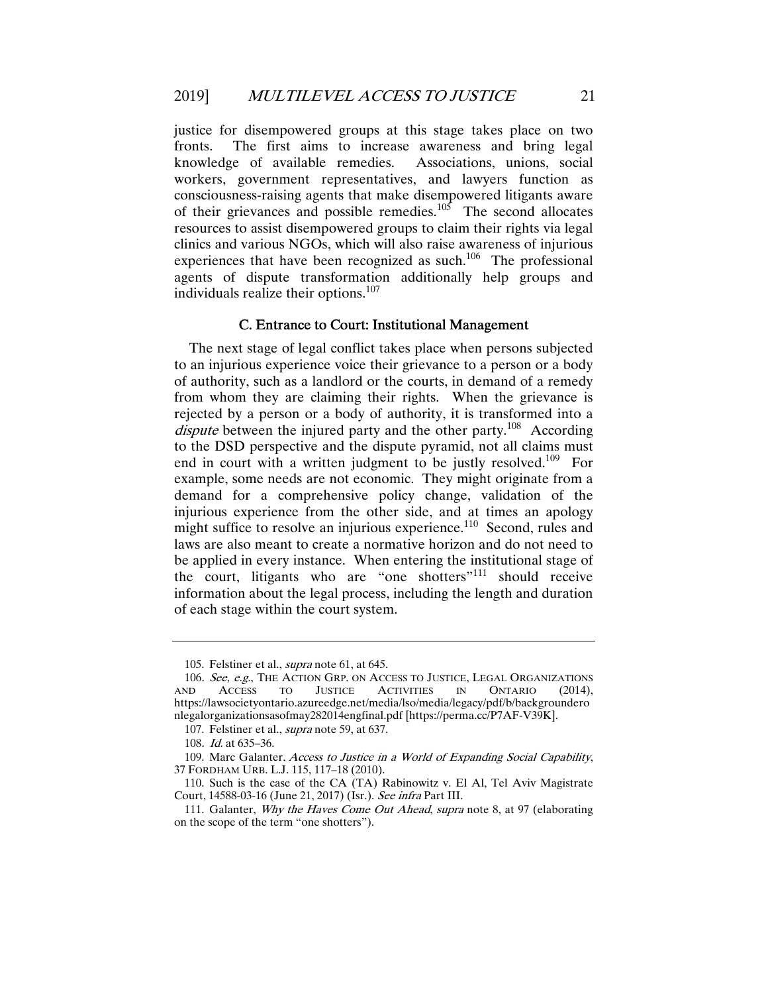justice for disempowered groups at this stage takes place on two fronts. The first aims to increase awareness and bring legal knowledge of available remedies. Associations, unions, social workers, government representatives, and lawyers function as consciousness-raising agents that make disempowered litigants aware of their grievances and possible remedies.<sup>105</sup> The second allocates resources to assist disempowered groups to claim their rights via legal clinics and various NGOs, which will also raise awareness of injurious experiences that have been recognized as such.<sup>106</sup> The professional agents of dispute transformation additionally help groups and individuals realize their options.<sup>107</sup>

#### C. Entrance to Court: Institutional Management

The next stage of legal conflict takes place when persons subjected to an injurious experience voice their grievance to a person or a body of authority, such as a landlord or the courts, in demand of a remedy from whom they are claiming their rights. When the grievance is rejected by a person or a body of authority, it is transformed into a dispute between the injured party and the other party.<sup>108</sup> According to the DSD perspective and the dispute pyramid, not all claims must end in court with a written judgment to be justly resolved.<sup>109</sup> For example, some needs are not economic. They might originate from a demand for a comprehensive policy change, validation of the injurious experience from the other side, and at times an apology might suffice to resolve an injurious experience.<sup>110</sup> Second, rules and laws are also meant to create a normative horizon and do not need to be applied in every instance. When entering the institutional stage of the court, litigants who are "one shotters"111 should receive information about the legal process, including the length and duration of each stage within the court system.

 <sup>105.</sup> Felstiner et al., supra note 61, at 645.

<sup>106.</sup>  $See, e.g.,$  THE ACTION GRP. ON ACCESS TO JUSTICE, LEGAL ORGANIZATIONS AND ACCESS TO JUSTICE ACTIVITIES IN ONTARIO (2014), ACTIVITIES IN ONTARIO (2014), https://lawsocietyontario.azureedge.net/media/lso/media/legacy/pdf/b/backgroundero nlegalorganizationsasofmay282014engfinal.pdf [https://perma.cc/P7AF-V39K].

 <sup>107.</sup> Felstiner et al., supra note 59, at 637.

<sup>108</sup>. Id. at 635–36.

<sup>109.</sup> Marc Galanter, Access to Justice in a World of Expanding Social Capability, 37 FORDHAM URB. L.J. 115, 117–18 (2010).

 <sup>110.</sup> Such is the case of the CA (TA) Rabinowitz v. El Al, Tel Aviv Magistrate Court, 14588-03-16 (June 21, 2017) (Isr.). See infra Part III.

<sup>111.</sup> Galanter, *Why the Haves Come Out Ahead, supra* note 8, at 97 (elaborating on the scope of the term "one shotters").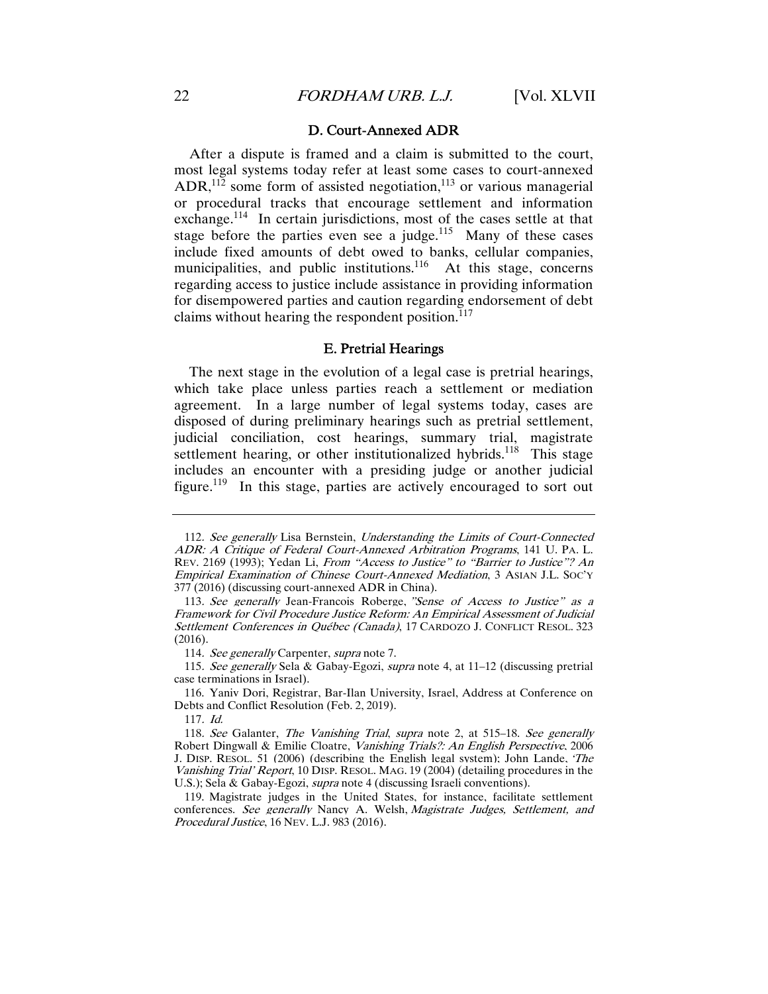#### D. Court-Annexed ADR

After a dispute is framed and a claim is submitted to the court, most legal systems today refer at least some cases to court-annexed  $ADR$ ,<sup>112</sup> some form of assisted negotiation,<sup>113</sup> or various managerial or procedural tracks that encourage settlement and information exchange.<sup>114</sup> In certain jurisdictions, most of the cases settle at that stage before the parties even see a judge.<sup>115</sup> Many of these cases include fixed amounts of debt owed to banks, cellular companies, municipalities, and public institutions.<sup>116</sup> At this stage, concerns regarding access to justice include assistance in providing information for disempowered parties and caution regarding endorsement of debt claims without hearing the respondent position. $117$ 

#### E. Pretrial Hearings

The next stage in the evolution of a legal case is pretrial hearings, which take place unless parties reach a settlement or mediation agreement. In a large number of legal systems today, cases are disposed of during preliminary hearings such as pretrial settlement, judicial conciliation, cost hearings, summary trial, magistrate settlement hearing, or other institutionalized hybrids.<sup>118</sup> This stage includes an encounter with a presiding judge or another judicial figure.<sup>119</sup> In this stage, parties are actively encouraged to sort out

117. Id.

<sup>112</sup>. See generally Lisa Bernstein, Understanding the Limits of Court-Connected ADR: A Critique of Federal Court-Annexed Arbitration Programs, 141 U. PA. L. REV. 2169 (1993); Yedan Li, From "Access to Justice" to "Barrier to Justice"? An Empirical Examination of Chinese Court-Annexed Mediation, 3 ASIAN J.L. SOC'Y  $377(2016)$  (discussing court-annexed ADR in China).

<sup>113</sup>. See generally Jean-Francois Roberge, "Sense of Access to Justice" as a Framework for Civil Procedure Justice Reform: An Empirical Assessment of Judicial Settlement Conferences in Québec (Canada), 17 CARDOZO J. CONFLICT RESOL. 323 (2016).

<sup>114.</sup> See generally Carpenter, supra note 7.

<sup>115.</sup> See generally Sela & Gabay-Egozi, supra note 4, at  $11-12$  (discussing pretrial case terminations in Israel).

 <sup>116.</sup> Yaniv Dori, Registrar, Bar-Ilan University, Israel, Address at Conference on Debts and Conflict Resolution (Feb. 2, 2019).

<sup>118.</sup> See Galanter, The Vanishing Trial, supra note 2, at 515–18. See generally Robert Dingwall & Emilie Cloatre, Vanishing Trials?: An English Perspective, 2006 J. DISP. RESOL. 51 (2006) (describing the English legal system); John Lande, 'The Vanishing Trial' Report, 10 DISP. RESOL. MAG. 19 (2004) (detailing procedures in the U.S.); Sela & Gabay-Egozi, *supra* note 4 (discussing Israeli conventions).

 <sup>119.</sup> Magistrate judges in the United States, for instance, facilitate settlement conferences. See generally Nancy A. Welsh, Magistrate Judges, Settlement, and Procedural Justice, 16 NEV. L.J. 983 (2016).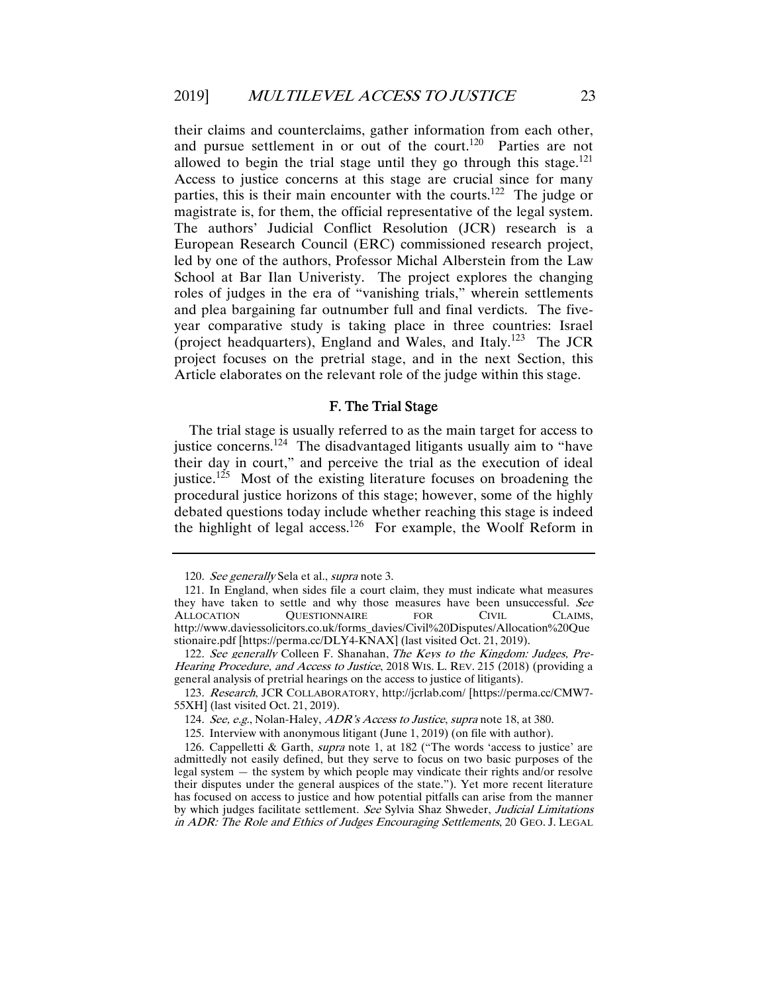their claims and counterclaims, gather information from each other, and pursue settlement in or out of the court.<sup>120</sup> Parties are not allowed to begin the trial stage until they go through this stage.<sup>121</sup> Access to justice concerns at this stage are crucial since for many parties, this is their main encounter with the courts.<sup>122</sup> The judge or magistrate is, for them, the official representative of the legal system. The authors' Judicial Conflict Resolution (JCR) research is a European Research Council (ERC) commissioned research project, led by one of the authors, Professor Michal Alberstein from the Law School at Bar Ilan Univeristy. The project explores the changing roles of judges in the era of "vanishing trials," wherein settlements and plea bargaining far outnumber full and final verdicts. The fiveyear comparative study is taking place in three countries: Israel (project headquarters), England and Wales, and Italy.<sup>123</sup> The JCR project focuses on the pretrial stage, and in the next Section, this Article elaborates on the relevant role of the judge within this stage.

#### F. The Trial Stage

The trial stage is usually referred to as the main target for access to justice concerns.<sup>124</sup> The disadvantaged litigants usually aim to "have" their day in court," and perceive the trial as the execution of ideal justice.<sup>125</sup> Most of the existing literature focuses on broadening the procedural justice horizons of this stage; however, some of the highly debated questions today include whether reaching this stage is indeed the highlight of legal access.<sup>126</sup> For example, the Woolf Reform in

<sup>120.</sup> See generally Sela et al., supra note 3.

 <sup>121.</sup> In England, when sides file a court claim, they must indicate what measures they have taken to settle and why those measures have been unsuccessful. See ALLOCATION QUESTIONNAIRE FOR CIVIL CLAIMS, http://www.daviessolicitors.co.uk/forms\_davies/Civil%20Disputes/Allocation%20Que stionaire.pdf [https://perma.cc/DLY4-KNAX] (last visited Oct. 21, 2019).

<sup>122.</sup> See generally Colleen F. Shanahan, The Keys to the Kingdom: Judges, Pre-Hearing Procedure, and Access to Justice, 2018 WIS. L. REV. 215 (2018) (providing a general analysis of pretrial hearings on the access to justice of litigants).

<sup>123</sup>. Research, JCR COLLABORATORY, http://jcrlab.com/ [https://perma.cc/CMW7- 55XH] (last visited Oct. 21, 2019).

<sup>124.</sup> See, e.g., Nolan-Haley, ADR's Access to Justice, supra note 18, at 380.

 <sup>125.</sup> Interview with anonymous litigant (June 1, 2019) (on file with author).

 <sup>126.</sup> Cappelletti & Garth, supra note 1, at 182 ("The words 'access to justice' are admittedly not easily defined, but they serve to focus on two basic purposes of the legal system — the system by which people may vindicate their rights and/or resolve their disputes under the general auspices of the state."). Yet more recent literature has focused on access to justice and how potential pitfalls can arise from the manner by which judges facilitate settlement. See Sylvia Shaz Shweder, Judicial Limitations in ADR: The Role and Ethics of Judges Encouraging Settlements, 20 GEO. J. LEGAL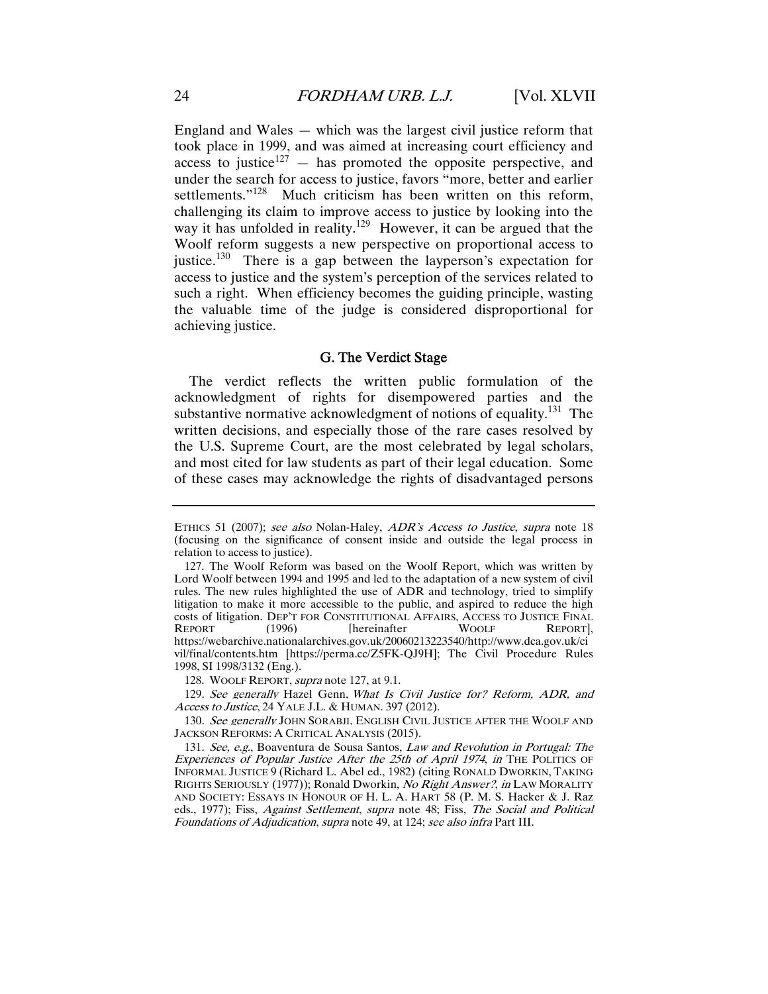England and Wales — which was the largest civil justice reform that took place in 1999, and was aimed at increasing court efficiency and access to justice<sup>127</sup>  $-$  has promoted the opposite perspective, and under the search for access to justice, favors "more, better and earlier settlements."<sup>128</sup> Much criticism has been written on this reform, challenging its claim to improve access to justice by looking into the way it has unfolded in reality.<sup>129</sup> However, it can be argued that the Woolf reform suggests a new perspective on proportional access to justice.<sup>130</sup> There is a gap between the layperson's expectation for access to justice and the system's perception of the services related to such a right. When efficiency becomes the guiding principle, wasting the valuable time of the judge is considered disproportional for achieving justice.

#### G. The Verdict Stage

The verdict reflects the written public formulation of the acknowledgment of rights for disempowered parties and the substantive normative acknowledgment of notions of equality.<sup>131</sup> The written decisions, and especially those of the rare cases resolved by the U.S. Supreme Court, are the most celebrated by legal scholars, and most cited for law students as part of their legal education. Some of these cases may acknowledge the rights of disadvantaged persons

ETHICS 51 (2007); see also Nolan-Haley, ADR's Access to Justice, supra note 18 (focusing on the significance of consent inside and outside the legal process in relation to access to justice).

 <sup>127.</sup> The Woolf Reform was based on the Woolf Report, which was written by Lord Woolf between 1994 and 1995 and led to the adaptation of a new system of civil rules. The new rules highlighted the use of ADR and technology, tried to simplify litigation to make it more accessible to the public, and aspired to reduce the high costs of litigation. DEP'T FOR CONSTITUTIONAL AFFAIRS, ACCESS TO JUSTICE FINAL REPORT (1996) [hereinafter WOOLF REPORT], https://webarchive.nationalarchives.gov.uk/20060213223540/http://www.dca.gov.uk/ci vil/final/contents.htm [https://perma.cc/Z5FK-QJ9H]; The Civil Procedure Rules 1998, SI 1998/3132 (Eng.).

<sup>128.</sup> WOOLF REPORT, *supra* note 127, at 9.1.

<sup>129</sup>. See generally Hazel Genn, What Is Civil Justice for? Reform, ADR, and Access to Justice, 24 YALE J.L. & HUMAN. 397 (2012).

<sup>130.</sup> See generally JOHN SORABJI, ENGLISH CIVIL JUSTICE AFTER THE WOOLF AND JACKSON REFORMS: A CRITICAL ANALYSIS (2015).

<sup>131</sup>. See, e.g., Boaventura de Sousa Santos, Law and Revolution in Portugal: The Experiences of Popular Justice After the 25th of April 1974, in THE POLITICS OF INFORMAL JUSTICE 9 (Richard L. Abel ed., 1982) (citing RONALD DWORKIN, TAKING RIGHTS SERIOUSLY (1977)); Ronald Dworkin, No Right Answer?, in LAW MORALITY AND SOCIETY: ESSAYS IN HONOUR OF H. L. A. HART 58 (P. M. S. Hacker & J. Raz eds., 1977); Fiss, Against Settlement, supra note 48; Fiss, The Social and Political Foundations of Adjudication, supra note 49, at 124; see also infra Part III.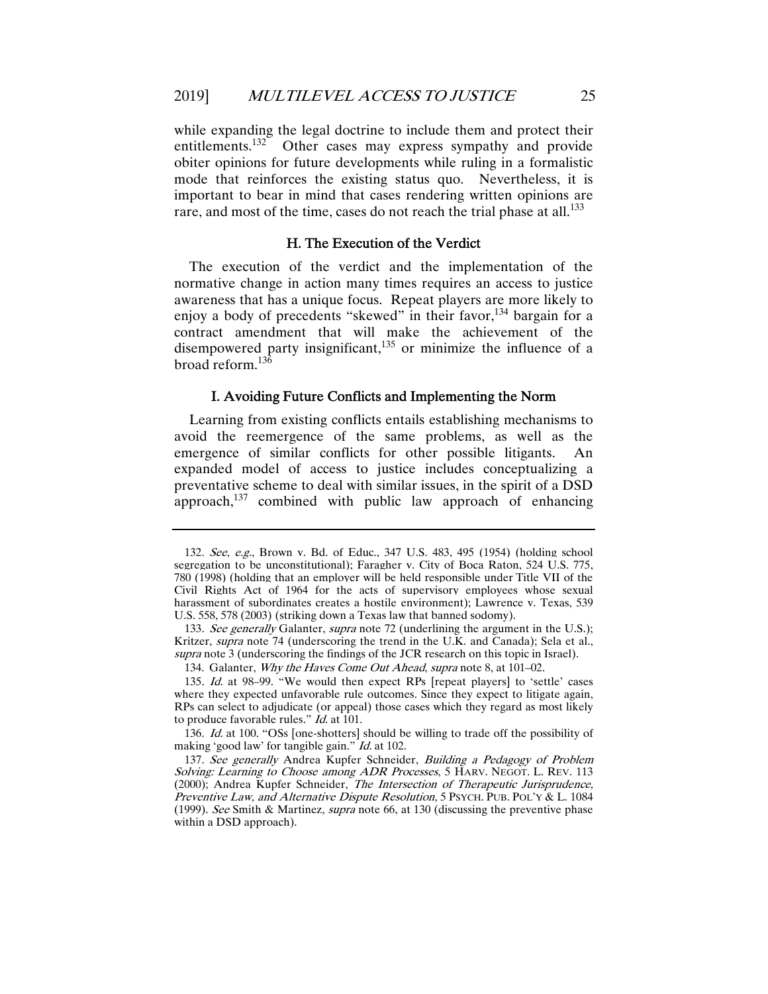while expanding the legal doctrine to include them and protect their entitlements.<sup>132</sup> Other cases may express sympathy and provide obiter opinions for future developments while ruling in a formalistic mode that reinforces the existing status quo. Nevertheless, it is important to bear in mind that cases rendering written opinions are rare, and most of the time, cases do not reach the trial phase at all.<sup>133</sup>

#### H. The Execution of the Verdict

The execution of the verdict and the implementation of the normative change in action many times requires an access to justice awareness that has a unique focus. Repeat players are more likely to enjoy a body of precedents "skewed" in their favor.<sup>134</sup> bargain for a contract amendment that will make the achievement of the disempowered party insignificant, $135$  or minimize the influence of a broad reform.<sup>136</sup>

#### I. Avoiding Future Conflicts and Implementing the Norm

Learning from existing conflicts entails establishing mechanisms to avoid the reemergence of the same problems, as well as the emergence of similar conflicts for other possible litigants. An expanded model of access to justice includes conceptualizing a preventative scheme to deal with similar issues, in the spirit of a DSD approach, $137$  combined with public law approach of enhancing

<sup>132</sup>. See, e.g., Brown v. Bd. of Educ., 347 U.S. 483, 495 (1954) (holding school segregation to be unconstitutional); Faragher v. City of Boca Raton, 524 U.S. 775, 780 (1998) (holding that an employer will be held responsible under Title VII of the Civil Rights Act of 1964 for the acts of supervisory employees whose sexual harassment of subordinates creates a hostile environment); Lawrence v. Texas, 539 U.S. 558, 578 (2003) (striking down a Texas law that banned sodomy).

<sup>133.</sup> See generally Galanter, supra note 72 (underlining the argument in the U.S.); Kritzer, supra note 74 (underscoring the trend in the U.K. and Canada); Sela et al., supra note 3 (underscoring the findings of the JCR research on this topic in Israel).

<sup>134.</sup> Galanter, Why the Haves Come Out Ahead, supra note 8, at 101-02.

<sup>135</sup>. Id. at 98–99. "We would then expect RPs [repeat players] to 'settle' cases where they expected unfavorable rule outcomes. Since they expect to litigate again, RPs can select to adjudicate (or appeal) those cases which they regard as most likely to produce favorable rules."  $Id$  at 101.

<sup>136</sup>. Id. at 100. "OSs [one-shotters] should be willing to trade off the possibility of making 'good law' for tangible gain." *Id.* at 102.

<sup>137</sup>. See generally Andrea Kupfer Schneider, Building a Pedagogy of Problem Solving: Learning to Choose among ADR Processes, 5 HARV. NEGOT. L. REV. 113 (2000); Andrea Kupfer Schneider, The Intersection of Therapeutic Jurisprudence, Preventive Law, and Alternative Dispute Resolution, 5 PSYCH. PUB. POL'Y & L. 1084 (1999). See Smith & Martinez, supra note 66, at 130 (discussing the preventive phase within a DSD approach).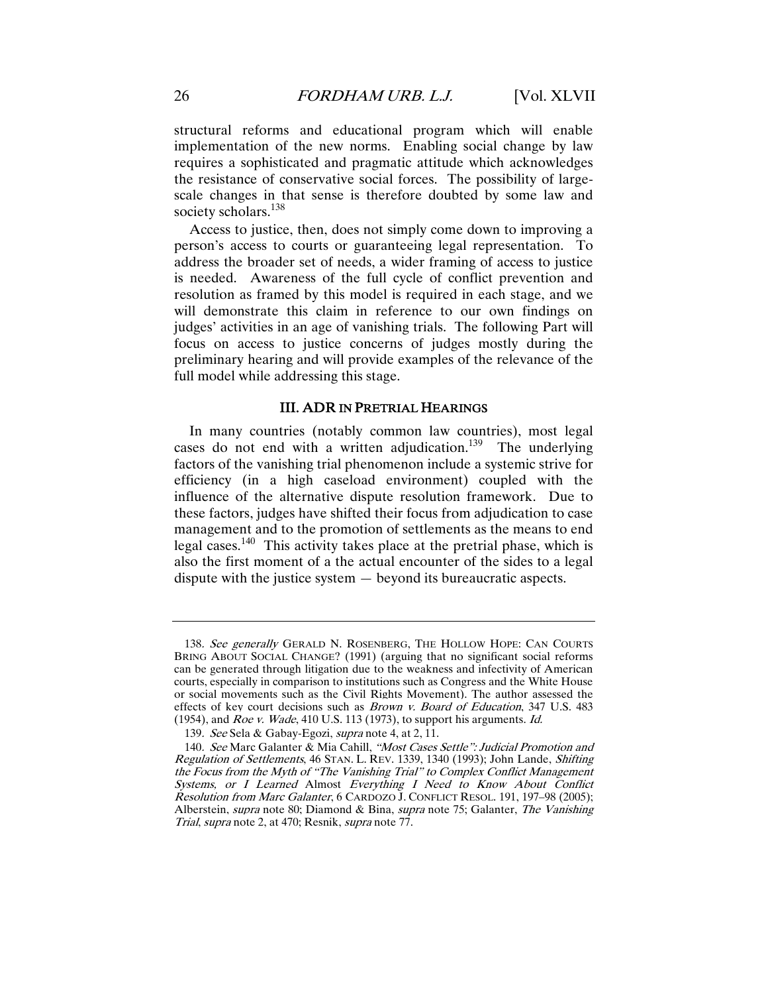structural reforms and educational program which will enable implementation of the new norms. Enabling social change by law requires a sophisticated and pragmatic attitude which acknowledges the resistance of conservative social forces. The possibility of largescale changes in that sense is therefore doubted by some law and society scholars.<sup>138</sup>

Access to justice, then, does not simply come down to improving a person's access to courts or guaranteeing legal representation. To address the broader set of needs, a wider framing of access to justice is needed. Awareness of the full cycle of conflict prevention and resolution as framed by this model is required in each stage, and we will demonstrate this claim in reference to our own findings on judges' activities in an age of vanishing trials. The following Part will focus on access to justice concerns of judges mostly during the preliminary hearing and will provide examples of the relevance of the full model while addressing this stage.

#### III. ADR IN PRETRIAL HEARINGS

In many countries (notably common law countries), most legal cases do not end with a written adjudication.<sup>139</sup> The underlying factors of the vanishing trial phenomenon include a systemic strive for efficiency (in a high caseload environment) coupled with the influence of the alternative dispute resolution framework. Due to these factors, judges have shifted their focus from adjudication to case management and to the promotion of settlements as the means to end legal cases.<sup>140</sup> This activity takes place at the pretrial phase, which is also the first moment of a the actual encounter of the sides to a legal dispute with the justice system — beyond its bureaucratic aspects.

<sup>138.</sup> See generally GERALD N. ROSENBERG, THE HOLLOW HOPE: CAN COURTS BRING ABOUT SOCIAL CHANGE? (1991) (arguing that no significant social reforms can be generated through litigation due to the weakness and infectivity of American courts, especially in comparison to institutions such as Congress and the White House or social movements such as the Civil Rights Movement). The author assessed the effects of key court decisions such as *Brown v. Board of Education*, 347 U.S. 483 (1954), and *Roe v. Wade*, 410 U.S. 113 (1973), to support his arguments. *Id.* 

<sup>139</sup>. See Sela & Gabay-Egozi, supra note 4, at 2, 11.

<sup>140</sup>. See Marc Galanter & Mia Cahill, "Most Cases Settle": Judicial Promotion and Regulation of Settlements, 46 STAN. L. REV. 1339, 1340 (1993); John Lande, Shifting the Focus from the Myth of "The Vanishing Trial" to Complex Conflict Management Systems, or I Learned Almost Everything I Need to Know About Conflict Resolution from Marc Galanter, 6 CARDOZO J. CONFLICT RESOL. 191, 197–98 (2005); Alberstein, *supra* note 80; Diamond & Bina, *supra* note 75; Galanter, *The Vanishing* Trial, supra note 2, at 470; Resnik, supra note 77.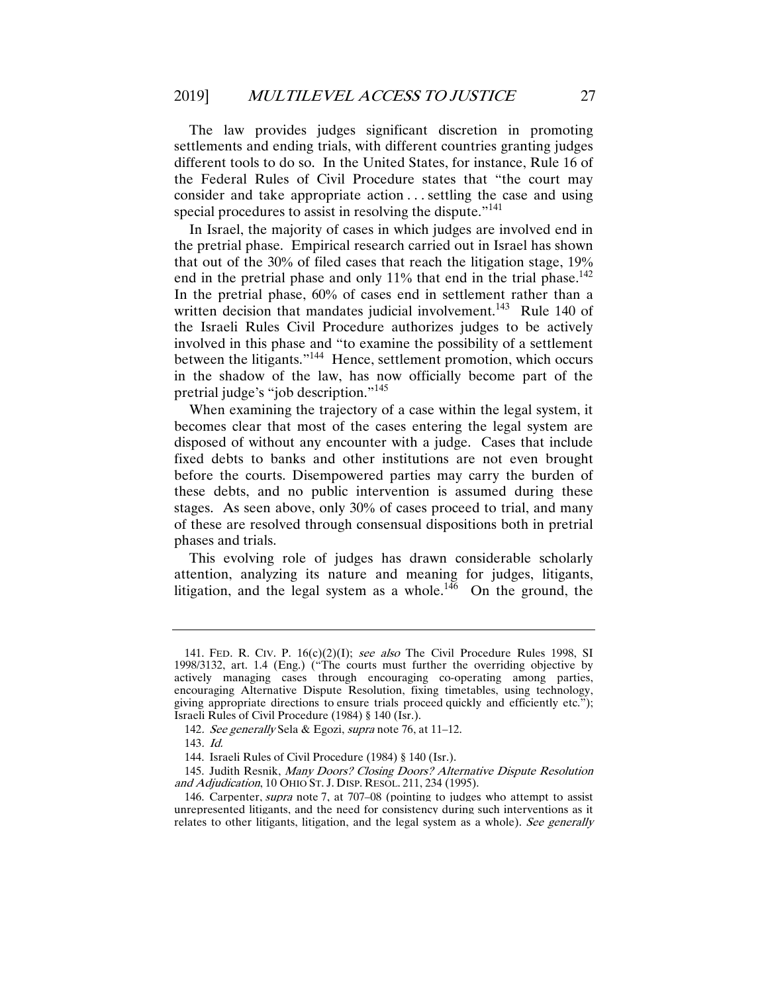The law provides judges significant discretion in promoting settlements and ending trials, with different countries granting judges different tools to do so. In the United States, for instance, Rule 16 of the Federal Rules of Civil Procedure states that "the court may consider and take appropriate action . . . settling the case and using special procedures to assist in resolving the dispute."<sup>141</sup>

In Israel, the majority of cases in which judges are involved end in the pretrial phase. Empirical research carried out in Israel has shown that out of the 30% of filed cases that reach the litigation stage, 19% end in the pretrial phase and only  $11\%$  that end in the trial phase.<sup>142</sup> In the pretrial phase, 60% of cases end in settlement rather than a written decision that mandates judicial involvement.<sup>143</sup> Rule 140 of the Israeli Rules Civil Procedure authorizes judges to be actively involved in this phase and "to examine the possibility of a settlement between the litigants."144 Hence, settlement promotion, which occurs in the shadow of the law, has now officially become part of the pretrial judge's "job description."<sup>145</sup>

When examining the trajectory of a case within the legal system, it becomes clear that most of the cases entering the legal system are disposed of without any encounter with a judge. Cases that include fixed debts to banks and other institutions are not even brought before the courts. Disempowered parties may carry the burden of these debts, and no public intervention is assumed during these stages. As seen above, only 30% of cases proceed to trial, and many of these are resolved through consensual dispositions both in pretrial phases and trials.

This evolving role of judges has drawn considerable scholarly attention, analyzing its nature and meaning for judges, litigants, litigation, and the legal system as a whole.<sup>146</sup> On the ground, the

<sup>141.</sup> FED. R. CIV. P.  $16(c)(2)(1)$ ; see also The Civil Procedure Rules 1998, SI 1998/3132, art. 1.4 (Eng.) ("The courts must further the overriding objective by actively managing cases through encouraging co-operating among parties, encouraging Alternative Dispute Resolution, fixing timetables, using technology, giving appropriate directions to ensure trials proceed quickly and efficiently etc."); Israeli Rules of Civil Procedure (1984) § 140 (Isr.).

<sup>142.</sup> See generally Sela & Egozi, supra note 76, at 11–12.

<sup>143</sup>. Id.

 <sup>144.</sup> Israeli Rules of Civil Procedure (1984) § 140 (Isr.).

 <sup>145.</sup> Judith Resnik, Many Doors? Closing Doors? Alternative Dispute Resolution and Adjudication, 10 OHIO ST. J. DISP. RESOL. 211, 234 (1995).

 <sup>146.</sup> Carpenter, supra note 7, at 707–08 (pointing to judges who attempt to assist unrepresented litigants, and the need for consistency during such interventions as it relates to other litigants, litigation, and the legal system as a whole). See generally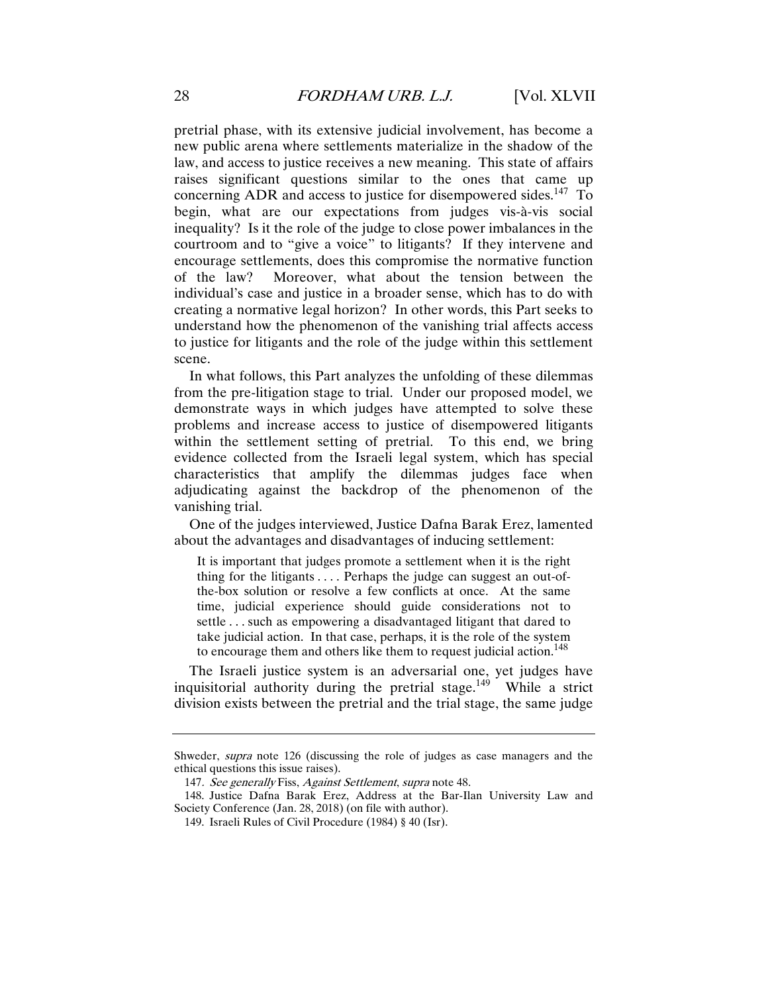pretrial phase, with its extensive judicial involvement, has become a new public arena where settlements materialize in the shadow of the law, and access to justice receives a new meaning. This state of affairs raises significant questions similar to the ones that came up concerning ADR and access to justice for disempowered sides.<sup>147</sup> To begin, what are our expectations from judges vis-à-vis social inequality? Is it the role of the judge to close power imbalances in the courtroom and to "give a voice" to litigants? If they intervene and encourage settlements, does this compromise the normative function of the law? Moreover, what about the tension between the individual's case and justice in a broader sense, which has to do with creating a normative legal horizon? In other words, this Part seeks to understand how the phenomenon of the vanishing trial affects access to justice for litigants and the role of the judge within this settlement scene.

In what follows, this Part analyzes the unfolding of these dilemmas from the pre-litigation stage to trial. Under our proposed model, we demonstrate ways in which judges have attempted to solve these problems and increase access to justice of disempowered litigants within the settlement setting of pretrial. To this end, we bring evidence collected from the Israeli legal system, which has special characteristics that amplify the dilemmas judges face when adjudicating against the backdrop of the phenomenon of the vanishing trial.

One of the judges interviewed, Justice Dafna Barak Erez, lamented about the advantages and disadvantages of inducing settlement:

It is important that judges promote a settlement when it is the right thing for the litigants  $\dots$ . Perhaps the judge can suggest an out-ofthe-box solution or resolve a few conflicts at once. At the same time, judicial experience should guide considerations not to settle . . . such as empowering a disadvantaged litigant that dared to take judicial action. In that case, perhaps, it is the role of the system to encourage them and others like them to request judicial action.<sup>148</sup>

The Israeli justice system is an adversarial one, yet judges have inquisitorial authority during the pretrial stage.<sup>149</sup> While a strict division exists between the pretrial and the trial stage, the same judge

Shweder, supra note 126 (discussing the role of judges as case managers and the ethical questions this issue raises).

<sup>147.</sup> See generally Fiss, Against Settlement, supra note 48.

 <sup>148.</sup> Justice Dafna Barak Erez, Address at the Bar-Ilan University Law and Society Conference (Jan. 28, 2018) (on file with author).

 <sup>149.</sup> Israeli Rules of Civil Procedure (1984) § 40 (Isr).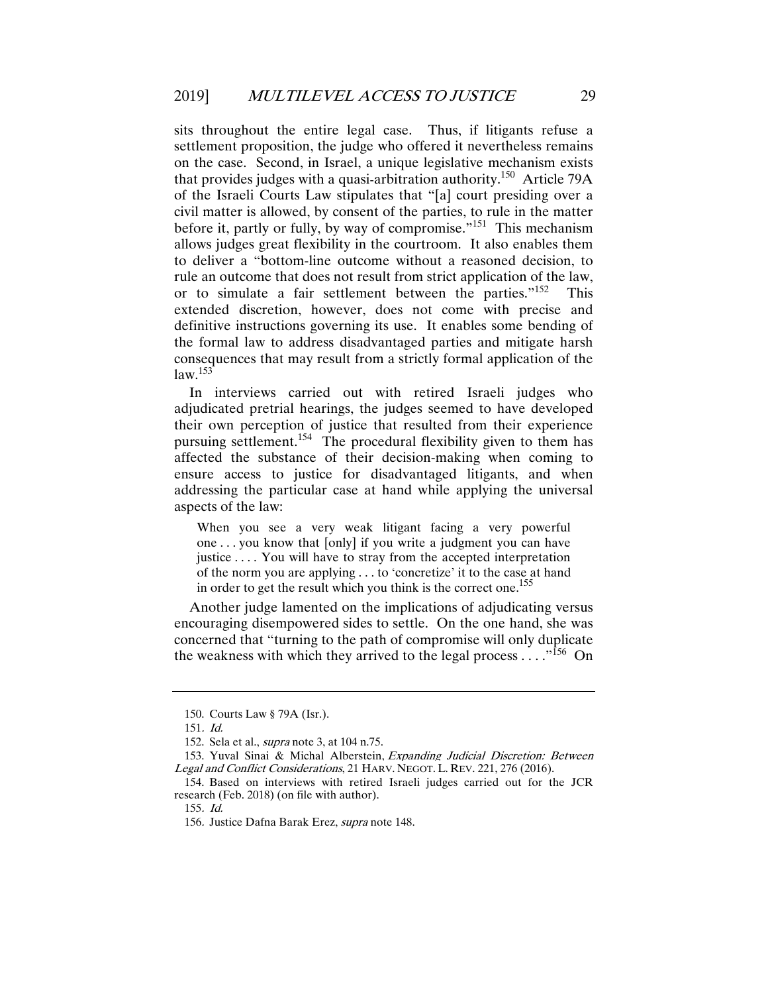sits throughout the entire legal case. Thus, if litigants refuse a settlement proposition, the judge who offered it nevertheless remains on the case. Second, in Israel, a unique legislative mechanism exists that provides judges with a quasi-arbitration authority.150 Article 79A of the Israeli Courts Law stipulates that "[a] court presiding over a civil matter is allowed, by consent of the parties, to rule in the matter before it, partly or fully, by way of compromise."<sup>151</sup> This mechanism allows judges great flexibility in the courtroom. It also enables them to deliver a "bottom-line outcome without a reasoned decision, to rule an outcome that does not result from strict application of the law, or to simulate a fair settlement between the parties."<sup>152</sup> This extended discretion, however, does not come with precise and definitive instructions governing its use. It enables some bending of the formal law to address disadvantaged parties and mitigate harsh consequences that may result from a strictly formal application of the  $law.<sup>153</sup>$ 

In interviews carried out with retired Israeli judges who adjudicated pretrial hearings, the judges seemed to have developed their own perception of justice that resulted from their experience pursuing settlement.154 The procedural flexibility given to them has affected the substance of their decision-making when coming to ensure access to justice for disadvantaged litigants, and when addressing the particular case at hand while applying the universal aspects of the law:

When you see a very weak litigant facing a very powerful one . . . you know that [only] if you write a judgment you can have justice .... You will have to stray from the accepted interpretation of the norm you are applying . . . to 'concretize' it to the case at hand in order to get the result which you think is the correct one.<sup>155</sup>

Another judge lamented on the implications of adjudicating versus encouraging disempowered sides to settle. On the one hand, she was concerned that "turning to the path of compromise will only duplicate the weakness with which they arrived to the legal process  $\dots$ <sup>156</sup> On

 <sup>150.</sup> Courts Law § 79A (Isr.).

<sup>151</sup>. Id.

 <sup>152.</sup> Sela et al., supra note 3, at 104 n.75.

 <sup>153.</sup> Yuval Sinai & Michal Alberstein, Expanding Judicial Discretion: Between Legal and Conflict Considerations, 21 HARV. NEGOT. L. REV. 221, 276 (2016).

 <sup>154.</sup> Based on interviews with retired Israeli judges carried out for the JCR research (Feb. 2018) (on file with author).

<sup>155</sup>. Id.

<sup>156</sup>. Justice Dafna Barak Erez, supra note 148.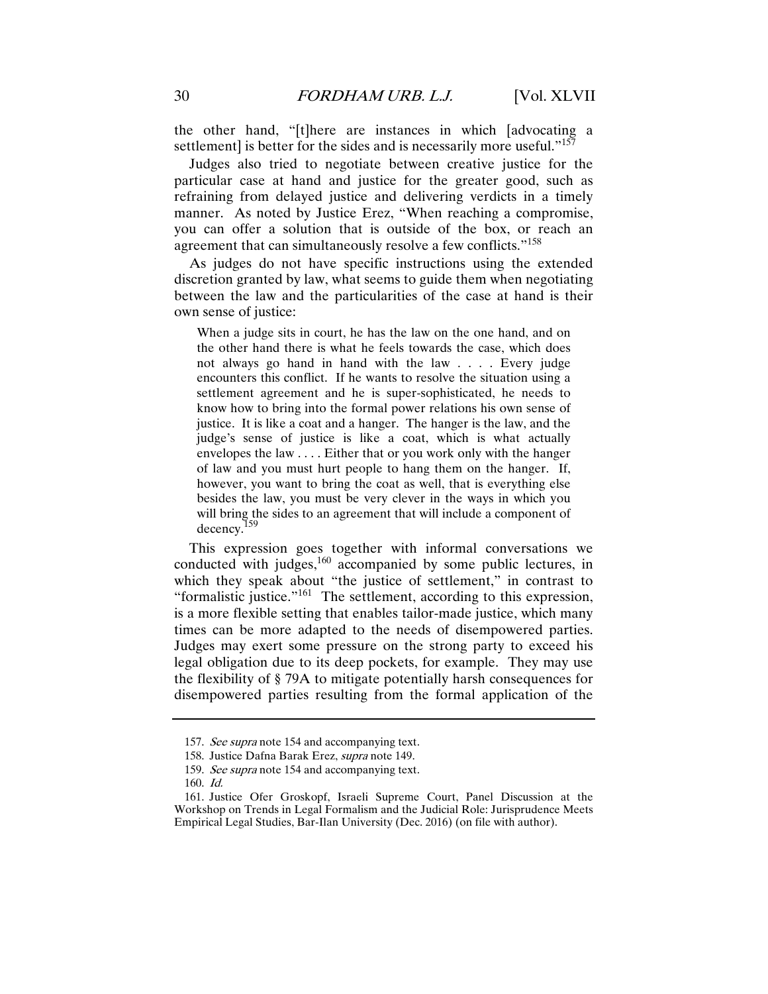the other hand, "[t]here are instances in which [advocating a settlement] is better for the sides and is necessarily more useful." $157$ 

Judges also tried to negotiate between creative justice for the particular case at hand and justice for the greater good, such as refraining from delayed justice and delivering verdicts in a timely manner. As noted by Justice Erez, "When reaching a compromise, you can offer a solution that is outside of the box, or reach an agreement that can simultaneously resolve a few conflicts."<sup>158</sup>

As judges do not have specific instructions using the extended discretion granted by law, what seems to guide them when negotiating between the law and the particularities of the case at hand is their own sense of justice:

When a judge sits in court, he has the law on the one hand, and on the other hand there is what he feels towards the case, which does not always go hand in hand with the law . . . . Every judge encounters this conflict. If he wants to resolve the situation using a settlement agreement and he is super-sophisticated, he needs to know how to bring into the formal power relations his own sense of justice. It is like a coat and a hanger. The hanger is the law, and the judge's sense of justice is like a coat, which is what actually envelopes the law . . . . Either that or you work only with the hanger of law and you must hurt people to hang them on the hanger. If, however, you want to bring the coat as well, that is everything else besides the law, you must be very clever in the ways in which you will bring the sides to an agreement that will include a component of decency.159

This expression goes together with informal conversations we conducted with judges, $160$  accompanied by some public lectures, in which they speak about "the justice of settlement," in contrast to "formalistic justice."<sup>161</sup> The settlement, according to this expression, is a more flexible setting that enables tailor-made justice, which many times can be more adapted to the needs of disempowered parties. Judges may exert some pressure on the strong party to exceed his legal obligation due to its deep pockets, for example. They may use the flexibility of § 79A to mitigate potentially harsh consequences for disempowered parties resulting from the formal application of the

<sup>157.</sup> See supra note 154 and accompanying text.

 <sup>158.</sup> Justice Dafna Barak Erez, supra note 149.

<sup>159.</sup> See supra note 154 and accompanying text.

 <sup>160.</sup> Id.

 <sup>161.</sup> Justice Ofer Groskopf, Israeli Supreme Court, Panel Discussion at the Workshop on Trends in Legal Formalism and the Judicial Role: Jurisprudence Meets Empirical Legal Studies, Bar-Ilan University (Dec. 2016) (on file with author).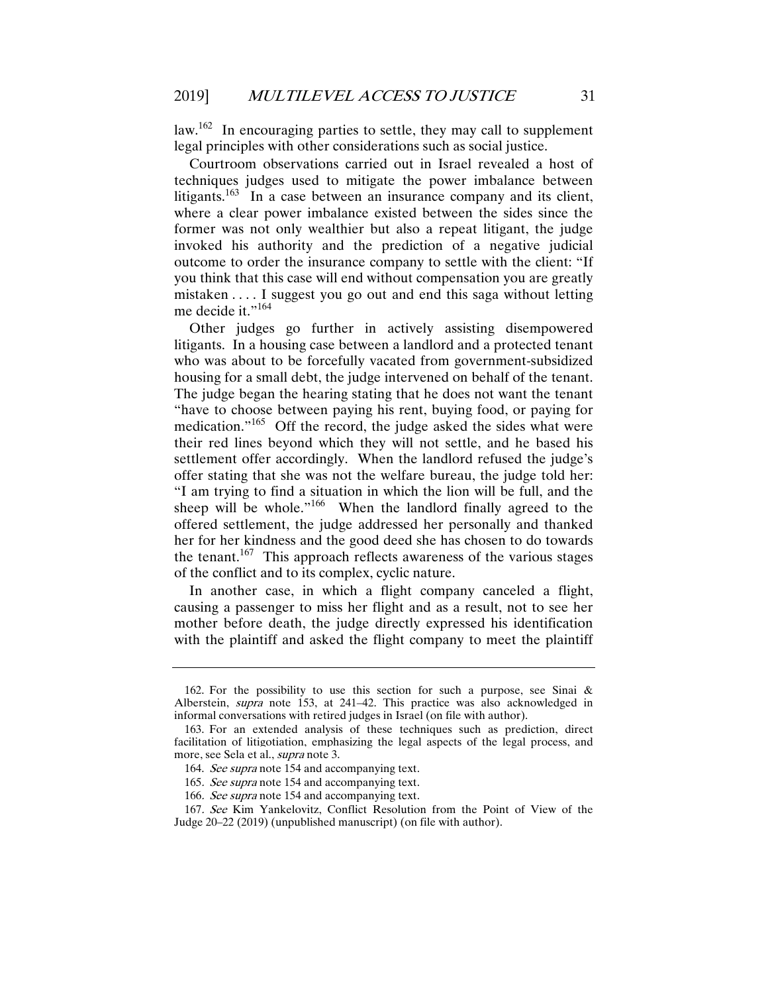law.<sup>162</sup> In encouraging parties to settle, they may call to supplement legal principles with other considerations such as social justice.

Courtroom observations carried out in Israel revealed a host of techniques judges used to mitigate the power imbalance between litigants.<sup>163</sup> In a case between an insurance company and its client, where a clear power imbalance existed between the sides since the former was not only wealthier but also a repeat litigant, the judge invoked his authority and the prediction of a negative judicial outcome to order the insurance company to settle with the client: "If you think that this case will end without compensation you are greatly mistaken . . . . I suggest you go out and end this saga without letting me decide it."<sup>164</sup>

Other judges go further in actively assisting disempowered litigants. In a housing case between a landlord and a protected tenant who was about to be forcefully vacated from government-subsidized housing for a small debt, the judge intervened on behalf of the tenant. The judge began the hearing stating that he does not want the tenant "have to choose between paying his rent, buying food, or paying for medication."<sup>165</sup> Off the record, the judge asked the sides what were their red lines beyond which they will not settle, and he based his settlement offer accordingly. When the landlord refused the judge's offer stating that she was not the welfare bureau, the judge told her: "I am trying to find a situation in which the lion will be full, and the sheep will be whole."<sup>166</sup> When the landlord finally agreed to the offered settlement, the judge addressed her personally and thanked her for her kindness and the good deed she has chosen to do towards the tenant.<sup>167</sup> This approach reflects awareness of the various stages of the conflict and to its complex, cyclic nature.

In another case, in which a flight company canceled a flight, causing a passenger to miss her flight and as a result, not to see her mother before death, the judge directly expressed his identification with the plaintiff and asked the flight company to meet the plaintiff

<sup>162.</sup> For the possibility to use this section for such a purpose, see Sinai  $\&$ Alberstein, *supra* note 153, at 241–42. This practice was also acknowledged in informal conversations with retired judges in Israel (on file with author).

 <sup>163.</sup> For an extended analysis of these techniques such as prediction, direct facilitation of litigotiation, emphasizing the legal aspects of the legal process, and more, see Sela et al., *supra* note 3.

 <sup>164.</sup> See supra note 154 and accompanying text.

<sup>165</sup>. See supra note 154 and accompanying text.

<sup>166.</sup> See supra note 154 and accompanying text.

<sup>167</sup>. See Kim Yankelovitz, Conflict Resolution from the Point of View of the Judge 20–22 (2019) (unpublished manuscript) (on file with author).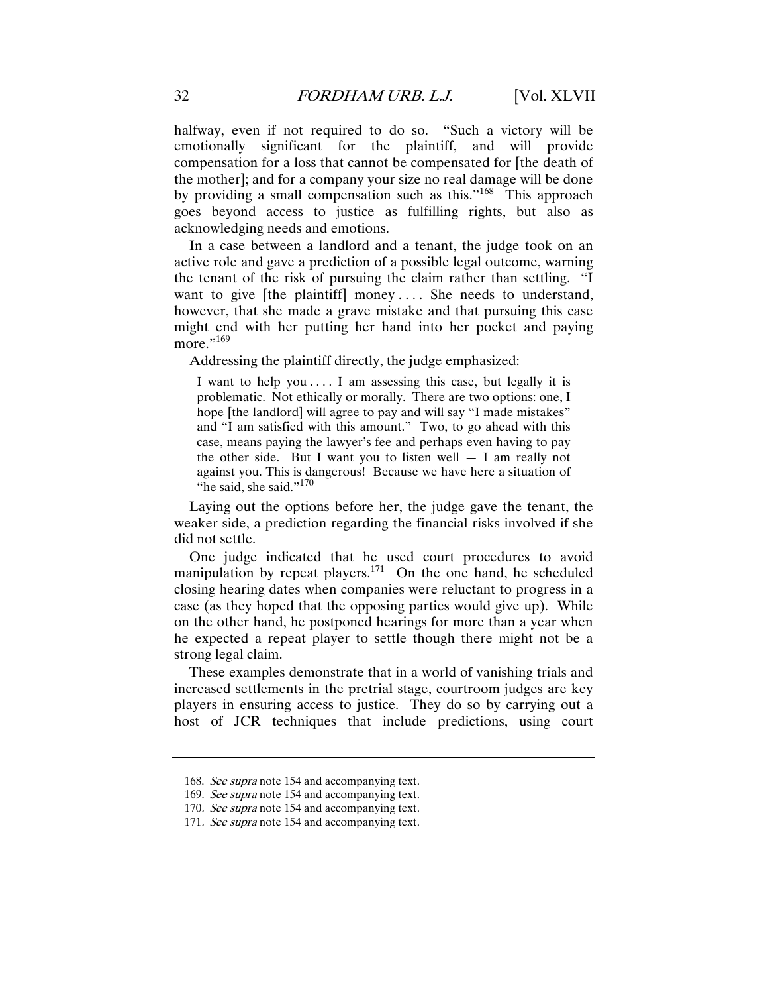halfway, even if not required to do so. "Such a victory will be emotionally significant for the plaintiff, and will provide compensation for a loss that cannot be compensated for [the death of the mother]; and for a company your size no real damage will be done by providing a small compensation such as this."<sup>168</sup> This approach goes beyond access to justice as fulfilling rights, but also as acknowledging needs and emotions.

In a case between a landlord and a tenant, the judge took on an active role and gave a prediction of a possible legal outcome, warning the tenant of the risk of pursuing the claim rather than settling. "I want to give [the plaintiff] money .... She needs to understand, however, that she made a grave mistake and that pursuing this case might end with her putting her hand into her pocket and paying more."<sup>169</sup>

Addressing the plaintiff directly, the judge emphasized:

I want to help you .... I am assessing this case, but legally it is problematic. Not ethically or morally. There are two options: one, I hope [the landlord] will agree to pay and will say "I made mistakes" and "I am satisfied with this amount." Two, to go ahead with this case, means paying the lawyer's fee and perhaps even having to pay the other side. But I want you to listen well  $-$  I am really not against you. This is dangerous! Because we have here a situation of "he said, she said."<sup>170</sup>

Laying out the options before her, the judge gave the tenant, the weaker side, a prediction regarding the financial risks involved if she did not settle.

One judge indicated that he used court procedures to avoid manipulation by repeat players.<sup>171</sup> On the one hand, he scheduled closing hearing dates when companies were reluctant to progress in a case (as they hoped that the opposing parties would give up). While on the other hand, he postponed hearings for more than a year when he expected a repeat player to settle though there might not be a strong legal claim.

These examples demonstrate that in a world of vanishing trials and increased settlements in the pretrial stage, courtroom judges are key players in ensuring access to justice. They do so by carrying out a host of JCR techniques that include predictions, using court

<sup>168.</sup> See supra note 154 and accompanying text.

<sup>169.</sup> See supra note 154 and accompanying text.

<sup>170.</sup> See supra note 154 and accompanying text.

<sup>171.</sup> See supra note 154 and accompanying text.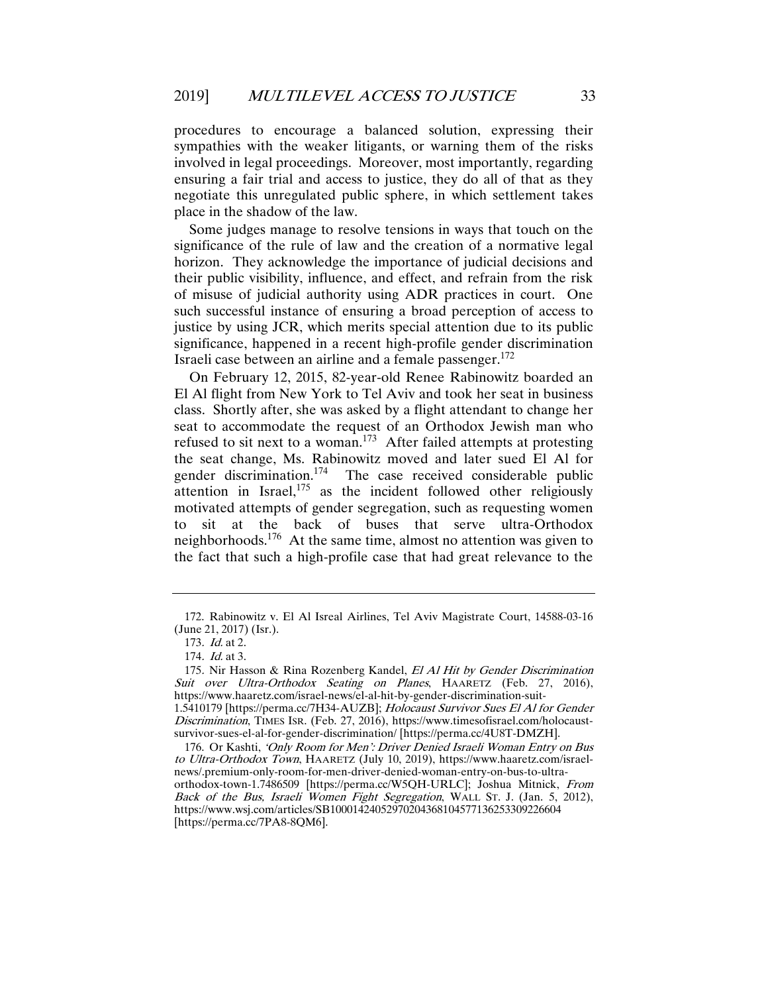procedures to encourage a balanced solution, expressing their sympathies with the weaker litigants, or warning them of the risks involved in legal proceedings. Moreover, most importantly, regarding ensuring a fair trial and access to justice, they do all of that as they negotiate this unregulated public sphere, in which settlement takes place in the shadow of the law.

Some judges manage to resolve tensions in ways that touch on the significance of the rule of law and the creation of a normative legal horizon. They acknowledge the importance of judicial decisions and their public visibility, influence, and effect, and refrain from the risk of misuse of judicial authority using ADR practices in court. One such successful instance of ensuring a broad perception of access to justice by using JCR, which merits special attention due to its public significance, happened in a recent high-profile gender discrimination Israeli case between an airline and a female passenger.<sup>172</sup>

On February 12, 2015, 82-year-old Renee Rabinowitz boarded an El Al flight from New York to Tel Aviv and took her seat in business class. Shortly after, she was asked by a flight attendant to change her seat to accommodate the request of an Orthodox Jewish man who refused to sit next to a woman.<sup>173</sup> After failed attempts at protesting the seat change, Ms. Rabinowitz moved and later sued El Al for gender discrimination.<sup>174</sup> The case received considerable public attention in Israel, $175$  as the incident followed other religiously motivated attempts of gender segregation, such as requesting women to sit at the back of buses that serve ultra-Orthodox neighborhoods.<sup>176</sup> At the same time, almost no attention was given to the fact that such a high-profile case that had great relevance to the

 <sup>172.</sup> Rabinowitz v. El Al Isreal Airlines, Tel Aviv Magistrate Court, 14588-03-16 (June 21, 2017) (Isr.).

<sup>173</sup>. Id. at 2.

<sup>174</sup>. Id. at 3.

<sup>175.</sup> Nir Hasson & Rina Rozenberg Kandel, El Al Hit by Gender Discrimination Suit over Ultra-Orthodox Seating on Planes, HAARETZ (Feb. 27, 2016), https://www.haaretz.com/israel-news/el-al-hit-by-gender-discrimination-suit-1.5410179 [https://perma.cc/7H34-AUZB]; Holocaust Survivor Sues El Al for Gender Discrimination, TIMES ISR. (Feb. 27, 2016), https://www.timesofisrael.com/holocaust-

survivor-sues-el-al-for-gender-discrimination/ [https://perma.cc/4U8T-DMZH].

 <sup>176.</sup> Or Kashti, 'Only Room for Men': Driver Denied Israeli Woman Entry on Bus to Ultra-Orthodox Town, HAARETZ (July 10, 2019), https://www.haaretz.com/israelnews/.premium-only-room-for-men-driver-denied-woman-entry-on-bus-to-ultraorthodox-town-1.7486509 [https://perma.cc/W5QH-URLC]; Joshua Mitnick, From Back of the Bus, Israeli Women Fight Segregation, WALL ST. J. (Jan. 5, 2012), https://www.wsj.com/articles/SB10001424052970204368104577136253309226604 [https://perma.cc/7PA8-8QM6].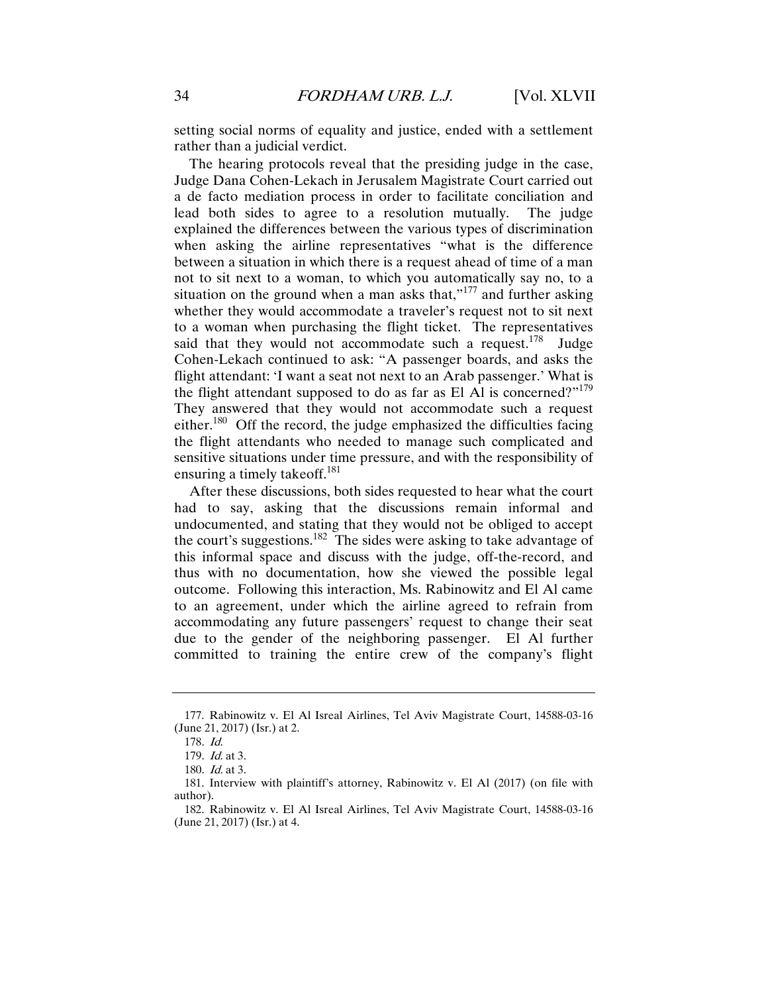setting social norms of equality and justice, ended with a settlement rather than a judicial verdict.

The hearing protocols reveal that the presiding judge in the case, Judge Dana Cohen-Lekach in Jerusalem Magistrate Court carried out a de facto mediation process in order to facilitate conciliation and lead both sides to agree to a resolution mutually. The judge explained the differences between the various types of discrimination when asking the airline representatives "what is the difference between a situation in which there is a request ahead of time of a man not to sit next to a woman, to which you automatically say no, to a situation on the ground when a man asks that," $177$  and further asking whether they would accommodate a traveler's request not to sit next to a woman when purchasing the flight ticket. The representatives said that they would not accommodate such a request.<sup>178</sup> Judge Cohen-Lekach continued to ask: "A passenger boards, and asks the flight attendant: 'I want a seat not next to an Arab passenger.' What is the flight attendant supposed to do as far as El Al is concerned?"<sup>179</sup> They answered that they would not accommodate such a request either.<sup>180</sup> Off the record, the judge emphasized the difficulties facing the flight attendants who needed to manage such complicated and sensitive situations under time pressure, and with the responsibility of ensuring a timely takeoff.<sup>181</sup>

After these discussions, both sides requested to hear what the court had to say, asking that the discussions remain informal and undocumented, and stating that they would not be obliged to accept the court's suggestions.<sup>182</sup> The sides were asking to take advantage of this informal space and discuss with the judge, off-the-record, and thus with no documentation, how she viewed the possible legal outcome. Following this interaction, Ms. Rabinowitz and El Al came to an agreement, under which the airline agreed to refrain from accommodating any future passengers' request to change their seat due to the gender of the neighboring passenger. El Al further committed to training the entire crew of the company's flight

 <sup>177.</sup> Rabinowitz v. El Al Isreal Airlines, Tel Aviv Magistrate Court, 14588-03-16 (June 21, 2017) (Isr.) at 2.

<sup>178</sup>. Id.

<sup>179</sup>. Id. at 3.

<sup>180</sup>. Id. at 3.

 <sup>181.</sup> Interview with plaintiff's attorney, Rabinowitz v. El Al (2017) (on file with author).

 <sup>182.</sup> Rabinowitz v. El Al Isreal Airlines, Tel Aviv Magistrate Court, 14588-03-16 (June 21, 2017) (Isr.) at 4.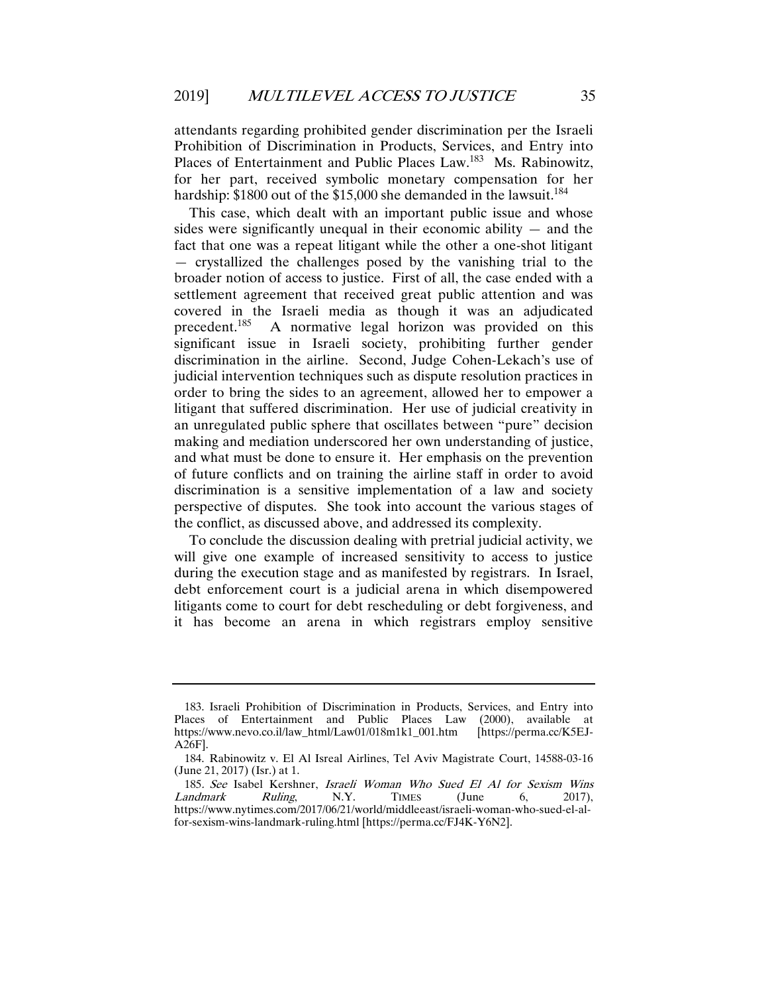attendants regarding prohibited gender discrimination per the Israeli Prohibition of Discrimination in Products, Services, and Entry into Places of Entertainment and Public Places Law.<sup>183</sup> Ms. Rabinowitz, for her part, received symbolic monetary compensation for her hardship:  $$1800$  out of the  $$15,000$  she demanded in the lawsuit.<sup>184</sup>

This case, which dealt with an important public issue and whose sides were significantly unequal in their economic ability  $-$  and the fact that one was a repeat litigant while the other a one-shot litigant — crystallized the challenges posed by the vanishing trial to the broader notion of access to justice. First of all, the case ended with a settlement agreement that received great public attention and was covered in the Israeli media as though it was an adjudicated precedent.<sup>185</sup> A normative legal horizon was provided on this significant issue in Israeli society, prohibiting further gender discrimination in the airline. Second, Judge Cohen-Lekach's use of judicial intervention techniques such as dispute resolution practices in order to bring the sides to an agreement, allowed her to empower a litigant that suffered discrimination. Her use of judicial creativity in an unregulated public sphere that oscillates between "pure" decision making and mediation underscored her own understanding of justice, and what must be done to ensure it. Her emphasis on the prevention of future conflicts and on training the airline staff in order to avoid discrimination is a sensitive implementation of a law and society perspective of disputes. She took into account the various stages of the conflict, as discussed above, and addressed its complexity.

To conclude the discussion dealing with pretrial judicial activity, we will give one example of increased sensitivity to access to justice during the execution stage and as manifested by registrars. In Israel, debt enforcement court is a judicial arena in which disempowered litigants come to court for debt rescheduling or debt forgiveness, and it has become an arena in which registrars employ sensitive

 <sup>183.</sup> Israeli Prohibition of Discrimination in Products, Services, and Entry into Places of Entertainment and Public Places Law (2000), available at https://www.nevo.co.il/law\_html/Law01/018m1k1\_001.htm [https://perma.cc/K5EJ-A26F].

 <sup>184.</sup> Rabinowitz v. El Al Isreal Airlines, Tel Aviv Magistrate Court, 14588-03-16 (June 21, 2017) (Isr.) at 1.

<sup>185</sup>. See Isabel Kershner, Israeli Woman Who Sued El Al for Sexism Wins Landmark Ruling, N.Y. TIMES (June 6, 2017), https://www.nytimes.com/2017/06/21/world/middleeast/israeli-woman-who-sued-el-alfor-sexism-wins-landmark-ruling.html [https://perma.cc/FJ4K-Y6N2].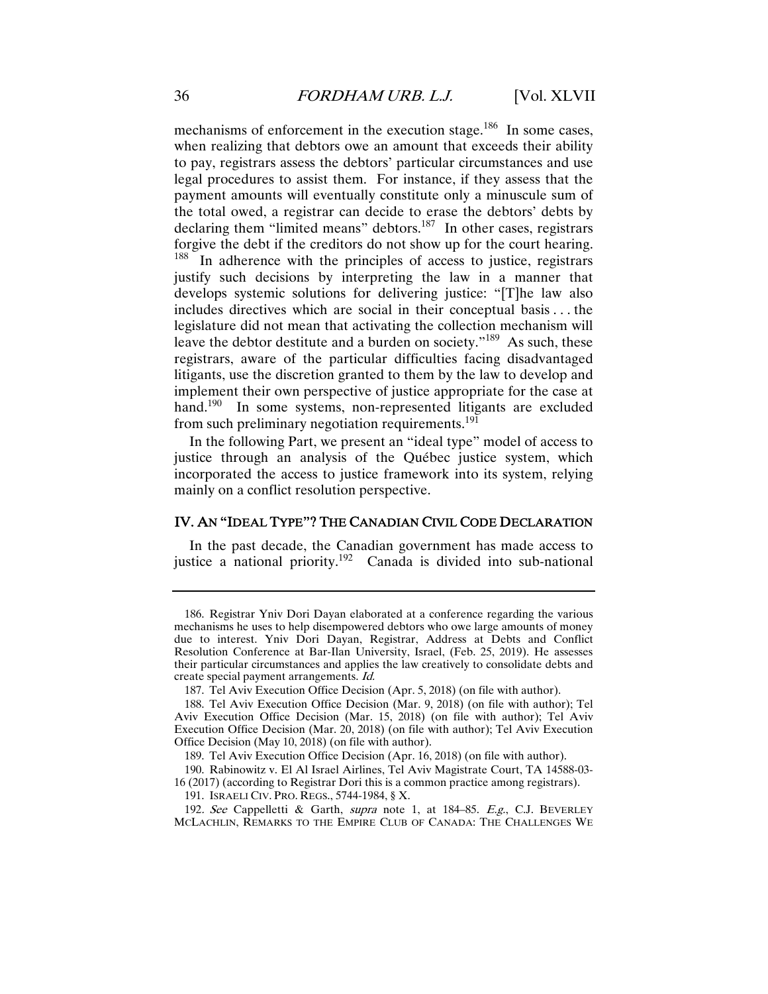mechanisms of enforcement in the execution stage.<sup>186</sup> In some cases, when realizing that debtors owe an amount that exceeds their ability to pay, registrars assess the debtors' particular circumstances and use legal procedures to assist them. For instance, if they assess that the payment amounts will eventually constitute only a minuscule sum of the total owed, a registrar can decide to erase the debtors' debts by declaring them "limited means" debtors.<sup>187</sup> In other cases, registrars forgive the debt if the creditors do not show up for the court hearing. <sup>188</sup> In adherence with the principles of access to justice, registrars justify such decisions by interpreting the law in a manner that develops systemic solutions for delivering justice: "[T]he law also includes directives which are social in their conceptual basis . . . the legislature did not mean that activating the collection mechanism will leave the debtor destitute and a burden on society."<sup>189</sup> As such, these registrars, aware of the particular difficulties facing disadvantaged litigants, use the discretion granted to them by the law to develop and implement their own perspective of justice appropriate for the case at hand.<sup>190</sup> In some systems, non-represented litigants are excluded from such preliminary negotiation requirements.<sup>191</sup>

In the following Part, we present an "ideal type" model of access to justice through an analysis of the Québec justice system, which incorporated the access to justice framework into its system, relying mainly on a conflict resolution perspective.

#### IV. AN "IDEAL TYPE"? THE CANADIAN CIVIL CODE DECLARATION

In the past decade, the Canadian government has made access to justice a national priority.<sup>192</sup> Canada is divided into sub-national

 <sup>186.</sup> Registrar Yniv Dori Dayan elaborated at a conference regarding the various mechanisms he uses to help disempowered debtors who owe large amounts of money due to interest. Yniv Dori Dayan, Registrar, Address at Debts and Conflict Resolution Conference at Bar-Ilan University, Israel, (Feb. 25, 2019). He assesses their particular circumstances and applies the law creatively to consolidate debts and create special payment arrangements. Id.

 <sup>187.</sup> Tel Aviv Execution Office Decision (Apr. 5, 2018) (on file with author).

 <sup>188.</sup> Tel Aviv Execution Office Decision (Mar. 9, 2018) (on file with author); Tel Aviv Execution Office Decision (Mar. 15, 2018) (on file with author); Tel Aviv Execution Office Decision (Mar. 20, 2018) (on file with author); Tel Aviv Execution Office Decision (May 10, 2018) (on file with author).

 <sup>189.</sup> Tel Aviv Execution Office Decision (Apr. 16, 2018) (on file with author).

 <sup>190.</sup> Rabinowitz v. El Al Israel Airlines, Tel Aviv Magistrate Court, TA 14588-03- 16 (2017) (according to Registrar Dori this is a common practice among registrars).

 <sup>191.</sup> ISRAELI CIV. PRO. REGS., 5744-1984, § X.

<sup>192.</sup> See Cappelletti & Garth, supra note 1, at 184-85. E.g., C.J. BEVERLEY MCLACHLIN, REMARKS TO THE EMPIRE CLUB OF CANADA: THE CHALLENGES WE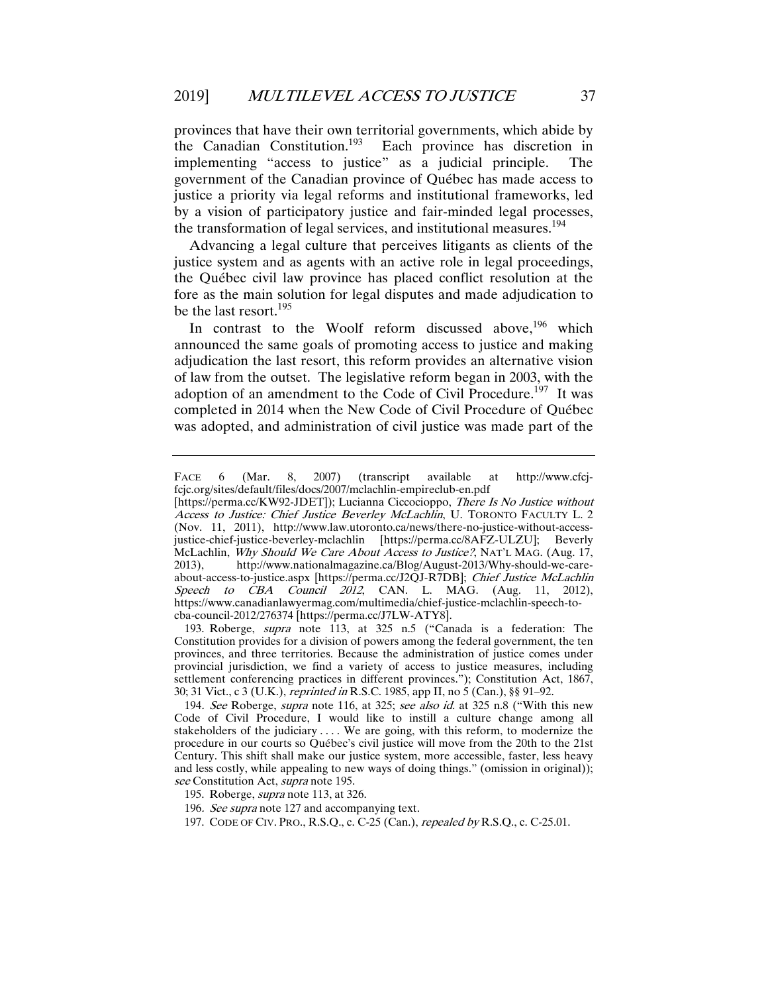provinces that have their own territorial governments, which abide by the Canadian Constitution.193 Each province has discretion in implementing "access to justice" as a judicial principle. The government of the Canadian province of Québec has made access to justice a priority via legal reforms and institutional frameworks, led by a vision of participatory justice and fair-minded legal processes, the transformation of legal services, and institutional measures.<sup>194</sup>

Advancing a legal culture that perceives litigants as clients of the justice system and as agents with an active role in legal proceedings, the Québec civil law province has placed conflict resolution at the fore as the main solution for legal disputes and made adjudication to be the last resort.<sup>195</sup>

In contrast to the Woolf reform discussed above,<sup>196</sup> which announced the same goals of promoting access to justice and making adjudication the last resort, this reform provides an alternative vision of law from the outset. The legislative reform began in 2003, with the adoption of an amendment to the Code of Civil Procedure.<sup>197</sup> It was completed in 2014 when the New Code of Civil Procedure of Québec was adopted, and administration of civil justice was made part of the

 193. Roberge, supra note 113, at 325 n.5 ("Canada is a federation: The Constitution provides for a division of powers among the federal government, the ten provinces, and three territories. Because the administration of justice comes under provincial jurisdiction, we find a variety of access to justice measures, including settlement conferencing practices in different provinces."); Constitution Act, 1867, 30; 31 Vict., c 3 (U.K.), reprinted in R.S.C. 1985, app II, no 5 (Can.), §§ 91–92.

FACE 6 (Mar. 8, 2007) (transcript available at http://www.cfcjfcjc.org/sites/default/files/docs/2007/mclachlin-empireclub-en.pdf

<sup>[</sup>https://perma.cc/KW92-JDET]); Lucianna Ciccocioppo, There Is No Justice without Access to Justice: Chief Justice Beverley McLachlin, U. TORONTO FACULTY L. 2 (Nov. 11, 2011), http://www.law.utoronto.ca/news/there-no-justice-without-accessjustice-chief-justice-beverley-mclachlin [https://perma.cc/8AFZ-ULZU]; Beverly McLachlin, Why Should We Care About Access to Justice?, NAT'L MAG. (Aug. 17, 2013), http://www.nationalmagazine.ca/Blog/August-2013/Why-should-we-careabout-access-to-justice.aspx [https://perma.cc/J2QJ-R7DB]; Chief Justice McLachlin Speech to CBA Council 2012, CAN. L. MAG. (Aug. 11, 2012), https://www.canadianlawyermag.com/multimedia/chief-justice-mclachlin-speech-tocba-council-2012/276374 [https://perma.cc/J7LW-ATY8].

<sup>194.</sup> See Roberge, *supra* note 116, at 325; see also id. at 325 n.8 ("With this new Code of Civil Procedure, I would like to instill a culture change among all stakeholders of the judiciary . . . . We are going, with this reform, to modernize the procedure in our courts so Québec's civil justice will move from the 20th to the 21st Century. This shift shall make our justice system, more accessible, faster, less heavy and less costly, while appealing to new ways of doing things." (omission in original)); see Constitution Act, *supra* note 195.

 <sup>195.</sup> Roberge, supra note 113, at 326.

<sup>196</sup>. See supra note 127 and accompanying text.

 <sup>197.</sup> CODE OF CIV. PRO., R.S.Q., c. C-25 (Can.), repealed by R.S.Q., c. C-25.01.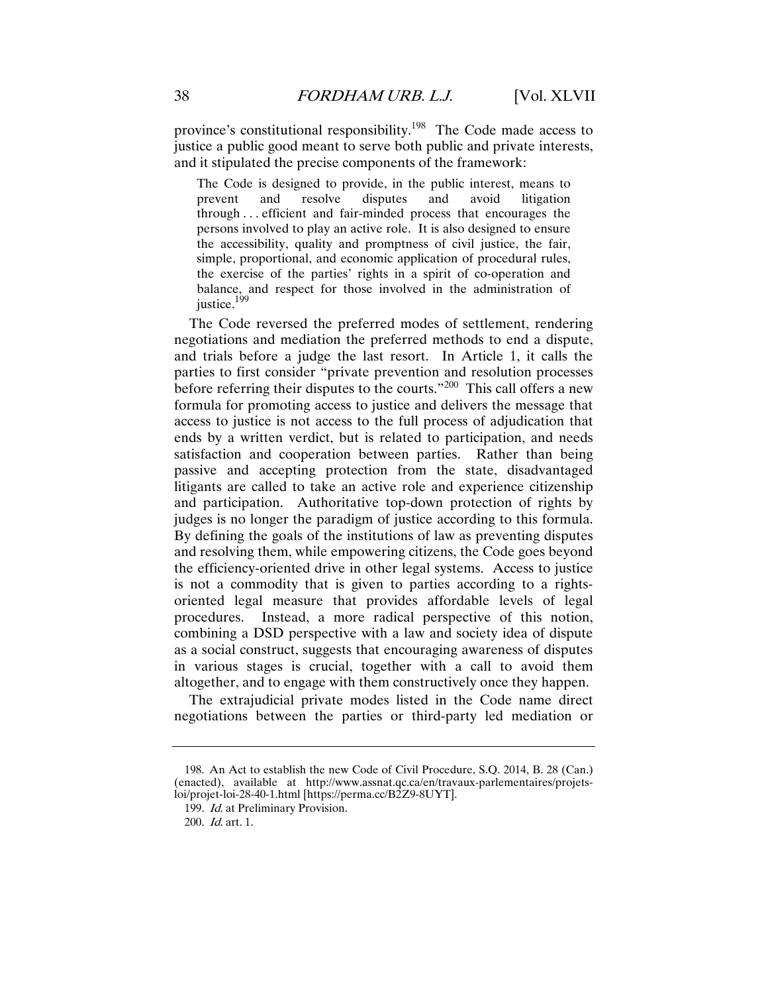province's constitutional responsibility.<sup>198</sup> The Code made access to justice a public good meant to serve both public and private interests, and it stipulated the precise components of the framework:

The Code is designed to provide, in the public interest, means to prevent and resolve disputes and avoid litigation through . . . efficient and fair-minded process that encourages the persons involved to play an active role. It is also designed to ensure the accessibility, quality and promptness of civil justice, the fair, simple, proportional, and economic application of procedural rules, the exercise of the parties' rights in a spirit of co-operation and balance, and respect for those involved in the administration of justice.<sup>199</sup>

The Code reversed the preferred modes of settlement, rendering negotiations and mediation the preferred methods to end a dispute, and trials before a judge the last resort. In Article 1, it calls the parties to first consider "private prevention and resolution processes before referring their disputes to the courts."<sup>200</sup> This call offers a new formula for promoting access to justice and delivers the message that access to justice is not access to the full process of adjudication that ends by a written verdict, but is related to participation, and needs satisfaction and cooperation between parties. Rather than being passive and accepting protection from the state, disadvantaged litigants are called to take an active role and experience citizenship and participation. Authoritative top-down protection of rights by judges is no longer the paradigm of justice according to this formula. By defining the goals of the institutions of law as preventing disputes and resolving them, while empowering citizens, the Code goes beyond the efficiency-oriented drive in other legal systems. Access to justice is not a commodity that is given to parties according to a rightsoriented legal measure that provides affordable levels of legal procedures. Instead, a more radical perspective of this notion, combining a DSD perspective with a law and society idea of dispute as a social construct, suggests that encouraging awareness of disputes in various stages is crucial, together with a call to avoid them altogether, and to engage with them constructively once they happen.

The extrajudicial private modes listed in the Code name direct negotiations between the parties or third-party led mediation or

 <sup>198.</sup> An Act to establish the new Code of Civil Procedure, S.Q. 2014, B. 28 (Can.) (enacted), available at http://www.assnat.qc.ca/en/travaux-parlementaires/projetsloi/projet-loi-28-40-1.html [https://perma.cc/B2Z9-8UYT].

<sup>199</sup>. Id. at Preliminary Provision.

<sup>200</sup>. Id. art. 1.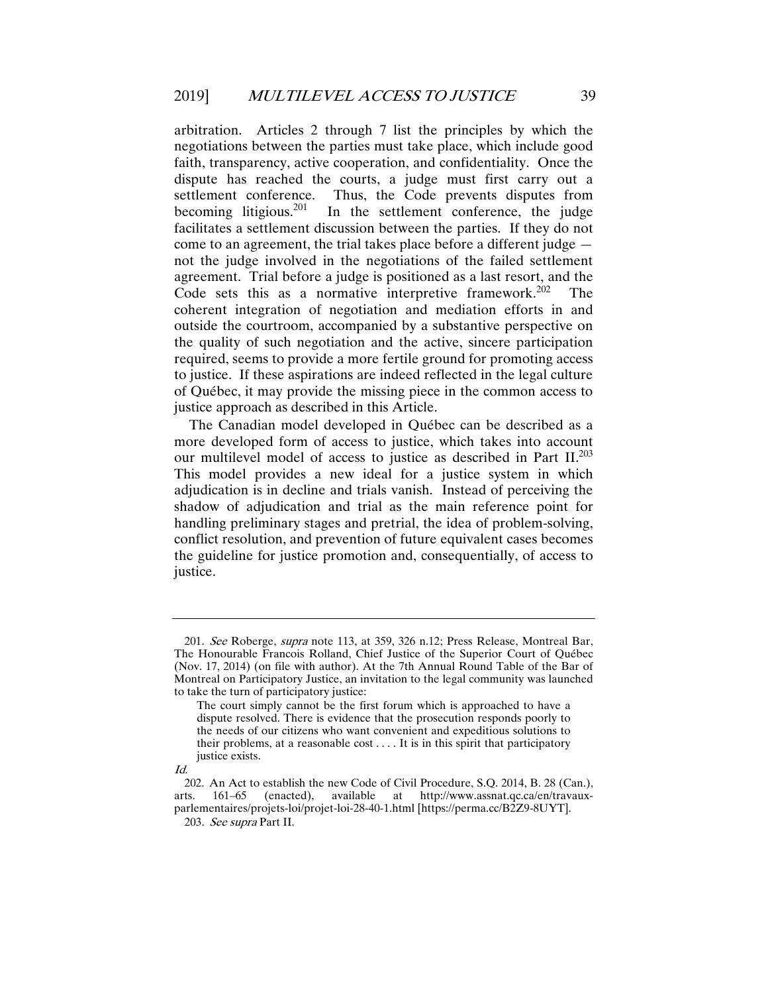arbitration. Articles 2 through 7 list the principles by which the negotiations between the parties must take place, which include good faith, transparency, active cooperation, and confidentiality. Once the dispute has reached the courts, a judge must first carry out a settlement conference. Thus, the Code prevents disputes from becoming litigious.<sup>201</sup> In the settlement conference, the judge facilitates a settlement discussion between the parties. If they do not come to an agreement, the trial takes place before a different judge not the judge involved in the negotiations of the failed settlement agreement. Trial before a judge is positioned as a last resort, and the Code sets this as a normative interpretive framework.<sup>202</sup> The coherent integration of negotiation and mediation efforts in and outside the courtroom, accompanied by a substantive perspective on the quality of such negotiation and the active, sincere participation required, seems to provide a more fertile ground for promoting access to justice. If these aspirations are indeed reflected in the legal culture of Québec, it may provide the missing piece in the common access to justice approach as described in this Article.

The Canadian model developed in Québec can be described as a more developed form of access to justice, which takes into account our multilevel model of access to justice as described in Part II.<sup>203</sup> This model provides a new ideal for a justice system in which adjudication is in decline and trials vanish. Instead of perceiving the shadow of adjudication and trial as the main reference point for handling preliminary stages and pretrial, the idea of problem-solving, conflict resolution, and prevention of future equivalent cases becomes the guideline for justice promotion and, consequentially, of access to justice.

<sup>201.</sup> See Roberge, supra note 113, at 359, 326 n.12; Press Release, Montreal Bar, The Honourable Francois Rolland, Chief Justice of the Superior Court of Québec (Nov. 17, 2014) (on file with author). At the 7th Annual Round Table of the Bar of Montreal on Participatory Justice, an invitation to the legal community was launched to take the turn of participatory justice:

The court simply cannot be the first forum which is approached to have a dispute resolved. There is evidence that the prosecution responds poorly to the needs of our citizens who want convenient and expeditious solutions to their problems, at a reasonable cost . . . . It is in this spirit that participatory justice exists.

Id.

 <sup>202.</sup> An Act to establish the new Code of Civil Procedure, S.Q. 2014, B. 28 (Can.), arts. 161–65 (enacted), available at http://www.assnat.qc.ca/en/travauxparlementaires/projets-loi/projet-loi-28-40-1.html [https://perma.cc/B2Z9-8UYT].

<sup>203</sup>. See supra Part II.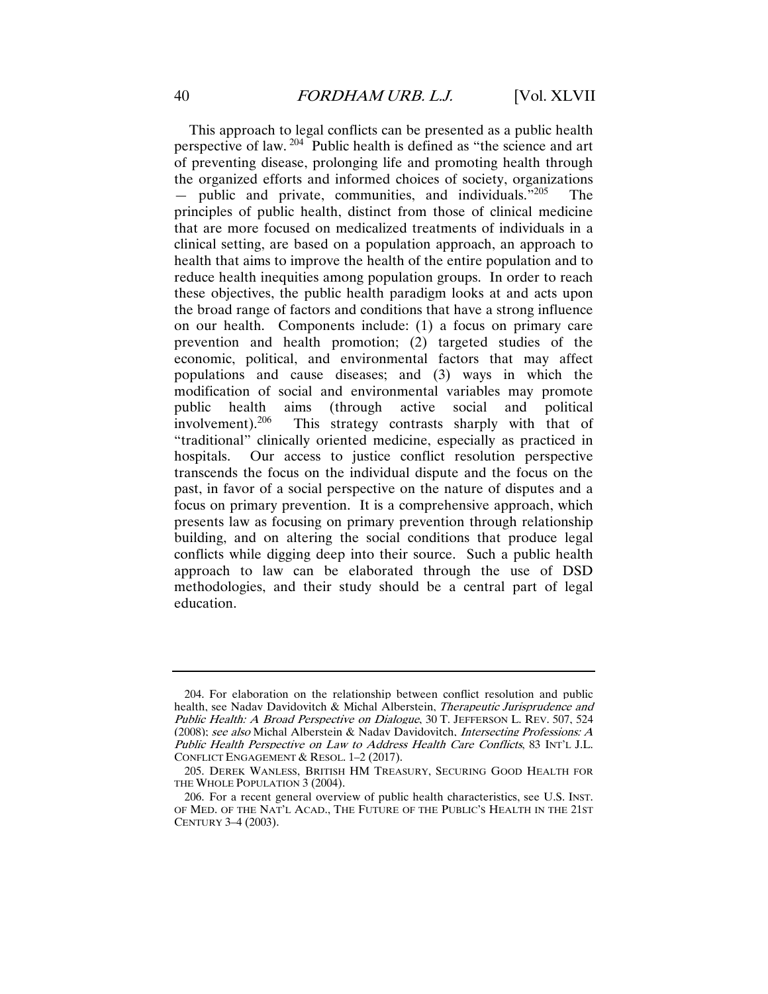This approach to legal conflicts can be presented as a public health perspective of law. <sup>204</sup> Public health is defined as "the science and art of preventing disease, prolonging life and promoting health through the organized efforts and informed choices of society, organizations  $-$  public and private, communities, and individuals.<sup>"205</sup> The principles of public health, distinct from those of clinical medicine that are more focused on medicalized treatments of individuals in a clinical setting, are based on a population approach, an approach to health that aims to improve the health of the entire population and to reduce health inequities among population groups. In order to reach these objectives, the public health paradigm looks at and acts upon the broad range of factors and conditions that have a strong influence on our health. Components include: (1) a focus on primary care prevention and health promotion; (2) targeted studies of the economic, political, and environmental factors that may affect populations and cause diseases; and (3) ways in which the modification of social and environmental variables may promote public health aims (through active social and political involvement).<sup>206</sup> This strategy contrasts sharply with that of "traditional" clinically oriented medicine, especially as practiced in hospitals. Our access to justice conflict resolution perspective transcends the focus on the individual dispute and the focus on the past, in favor of a social perspective on the nature of disputes and a focus on primary prevention. It is a comprehensive approach, which presents law as focusing on primary prevention through relationship building, and on altering the social conditions that produce legal conflicts while digging deep into their source. Such a public health approach to law can be elaborated through the use of DSD methodologies, and their study should be a central part of legal education.

 <sup>204.</sup> For elaboration on the relationship between conflict resolution and public health, see Naday Davidovitch & Michal Alberstein, *Therapeutic Jurisprudence and* Public Health: A Broad Perspective on Dialogue, 30 T. JEFFERSON L. REV. 507, 524 (2008); see also Michal Alberstein & Nadav Davidovitch, Intersecting Professions: A Public Health Perspective on Law to Address Health Care Conflicts, 83 INT'L J.L. CONFLICT ENGAGEMENT & RESOL. 1–2 (2017).

 <sup>205.</sup> DEREK WANLESS, BRITISH HM TREASURY, SECURING GOOD HEALTH FOR THE WHOLE POPULATION 3 (2004).

 <sup>206.</sup> For a recent general overview of public health characteristics, see U.S. INST. OF MED. OF THE NAT'L ACAD., THE FUTURE OF THE PUBLIC'S HEALTH IN THE 21ST CENTURY 3–4 (2003).